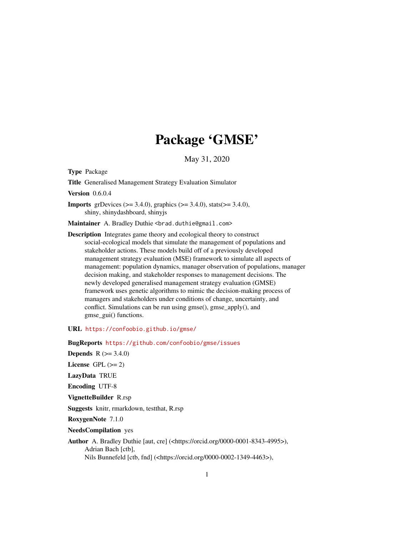# Package 'GMSE'

May 31, 2020

Type Package

Title Generalised Management Strategy Evaluation Simulator

Version 0.6.0.4

**Imports** grDevices ( $> = 3.4.0$ ), graphics ( $> = 3.4.0$ ), stats( $> = 3.4.0$ ), shiny, shinydashboard, shinyjs

Maintainer A. Bradley Duthie <br />brad.duthie@gmail.com>

Description Integrates game theory and ecological theory to construct social-ecological models that simulate the management of populations and stakeholder actions. These models build off of a previously developed management strategy evaluation (MSE) framework to simulate all aspects of management: population dynamics, manager observation of populations, manager decision making, and stakeholder responses to management decisions. The newly developed generalised management strategy evaluation (GMSE) framework uses genetic algorithms to mimic the decision-making process of managers and stakeholders under conditions of change, uncertainty, and conflict. Simulations can be run using gmse(), gmse\_apply(), and gmse\_gui() functions.

URL <https://confoobio.github.io/gmse/>

BugReports <https://github.com/confoobio/gmse/issues>

**Depends**  $R (= 3.4.0)$ License GPL  $(>= 2)$ LazyData TRUE Encoding UTF-8 VignetteBuilder R.rsp

Suggests knitr, rmarkdown, testthat, R.rsp

RoxygenNote 7.1.0

NeedsCompilation yes

Author A. Bradley Duthie [aut, cre] (<https://orcid.org/0000-0001-8343-4995>), Adrian Bach [ctb], Nils Bunnefeld [ctb, fnd] (<https://orcid.org/0000-0002-1349-4463>),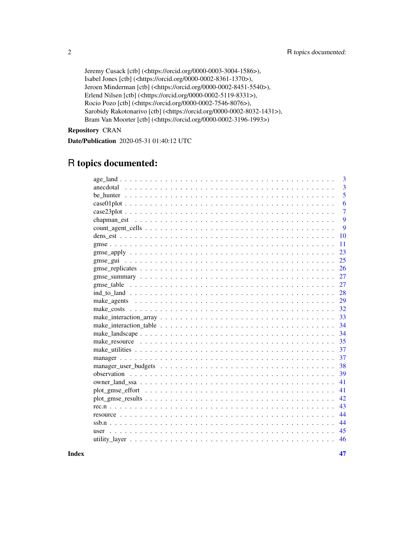```
Jeremy Cusack [ctb] (<https://orcid.org/0000-0003-3004-1586>),
Isabel Jones [ctb] (<https://orcid.org/0000-0002-8361-1370>),
Jeroen Minderman [ctb] (<https://orcid.org/0000-0002-8451-5540>),
Erlend Nilsen [ctb] (<https://orcid.org/0000-0002-5119-8331>),
Rocio Pozo [ctb] (<https://orcid.org/0000-0002-7546-8076>),
Sarobidy Rakotonarivo [ctb] (<https://orcid.org/0000-0002-8032-1431>),
Bram Van Moorter [ctb] (<https://orcid.org/0000-0002-3196-1993>)
```
Repository CRAN

Date/Publication 2020-05-31 01:40:12 UTC

## R topics documented:

| 3              |
|----------------|
| $\overline{3}$ |
| 5              |
| 6              |
| 7              |
| 9              |
| 9              |
| 10             |
| 11             |
| 23             |
| 25             |
|                |
| 26             |
| 27             |
| 27             |
| 28             |
| 29             |
| 32             |
| 33             |
| 34             |
| 34             |
| 35             |
| 37             |
| 37             |
| 38             |
| 39             |
| 41             |
| 41             |
| 42             |
| 43             |
| 44             |
| 44             |
| 45             |
| 46             |
|                |

**Index** [47](#page-46-0)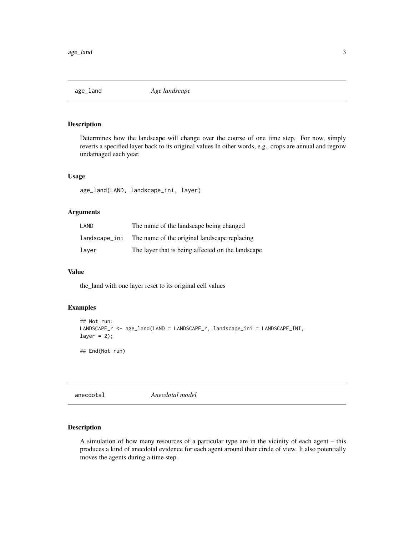<span id="page-2-0"></span>

## Description

Determines how the landscape will change over the course of one time step. For now, simply reverts a specified layer back to its original values In other words, e.g., crops are annual and regrow undamaged each year.

#### Usage

age\_land(LAND, landscape\_ini, layer)

## Arguments

| LAND          | The name of the landscape being changed           |
|---------------|---------------------------------------------------|
| landscape_ini | The name of the original landscape replacing      |
| laver         | The layer that is being affected on the landscape |

#### Value

the\_land with one layer reset to its original cell values

## Examples

```
## Not run:
LANDSCAPE_r <- age_land(LAND = LANDSCAPE_r, landscape_ini = LANDSCAPE_INI,
layer = 2);
## End(Not run)
```
anecdotal *Anecdotal model*

## Description

A simulation of how many resources of a particular type are in the vicinity of each agent – this produces a kind of anecdotal evidence for each agent around their circle of view. It also potentially moves the agents during a time step.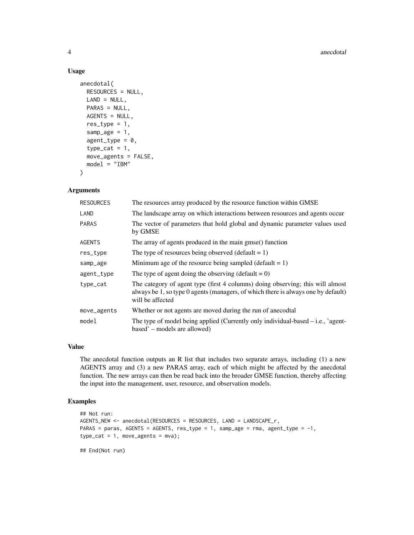## Usage

```
anecdotal(
 RESOURCES = NULL,
 LAND = NULL,PARAS = NULL,
 AGENTS = NULL,
 res_type = 1,
  sample = 1,agent_type = 0,
  type\_cat = 1,
 move_agents = FALSE,
 model = "IBM"
)
```
## Arguments

| <b>RESOURCES</b> | The resources array produced by the resource function within GMSE                                                                                                                       |
|------------------|-----------------------------------------------------------------------------------------------------------------------------------------------------------------------------------------|
| LAND             | The landscape array on which interactions between resources and agents occur                                                                                                            |
| <b>PARAS</b>     | The vector of parameters that hold global and dynamic parameter values used<br>by GMSE                                                                                                  |
| <b>AGENTS</b>    | The array of agents produced in the main gmse() function                                                                                                                                |
| res_type         | The type of resources being observed (default $= 1$ )                                                                                                                                   |
| samp_age         | Minimum age of the resource being sampled (default $= 1$ )                                                                                                                              |
| agent_type       | The type of agent doing the observing (default = $0$ )                                                                                                                                  |
| type_cat         | The category of agent type (first 4 columns) doing observing; this will almost<br>always be 1, so type 0 agents (managers, of which there is always one by default)<br>will be affected |
| move_agents      | Whether or not agents are moved during the run of anecodtal                                                                                                                             |
| model            | The type of model being applied (Currently only individual-based $-$ i.e., 'agent-<br>based' – models are allowed)                                                                      |

## Value

The anecdotal function outputs an R list that includes two separate arrays, including (1) a new AGENTS array and (3) a new PARAS array, each of which might be affected by the anecdotal function. The new arrays can then be read back into the broader GMSE function, thereby affecting the input into the management, user, resource, and observation models.

## Examples

```
## Not run:
AGENTS_NEW <- anecdotal(RESOURCES = RESOURCES, LAND = LANDSCAPE_r,
PARAS = paras, AGENTS = AGENTS, res_type = 1, samp_age = rma, agent_type = -1,
type\_cat = 1, move_agents = mva);
```
## End(Not run)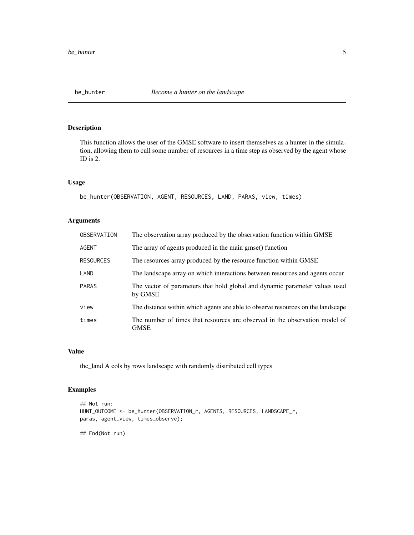<span id="page-4-0"></span>

## Description

This function allows the user of the GMSE software to insert themselves as a hunter in the simulation, allowing them to cull some number of resources in a time step as observed by the agent whose ID is 2.

## Usage

```
be_hunter(OBSERVATION, AGENT, RESOURCES, LAND, PARAS, view, times)
```
## Arguments

| OBSERVATION      | The observation array produced by the observation function within GMSE                     |
|------------------|--------------------------------------------------------------------------------------------|
| AGENT            | The array of agents produced in the main gmse() function                                   |
| <b>RESOURCES</b> | The resources array produced by the resource function within GMSE                          |
| LAND             | The landscape array on which interactions between resources and agents occur               |
| <b>PARAS</b>     | The vector of parameters that hold global and dynamic parameter values used<br>by GMSE     |
| view             | The distance within which agents are able to observe resources on the landscape            |
| times            | The number of times that resources are observed in the observation model of<br><b>GMSE</b> |

#### Value

the\_land A cols by rows landscape with randomly distributed cell types

## Examples

```
## Not run:
HUNT_OUTCOME <- be_hunter(OBSERVATION_r, AGENTS, RESOURCES, LANDSCAPE_r,
paras, agent_view, times_observe);
## End(Not run)
```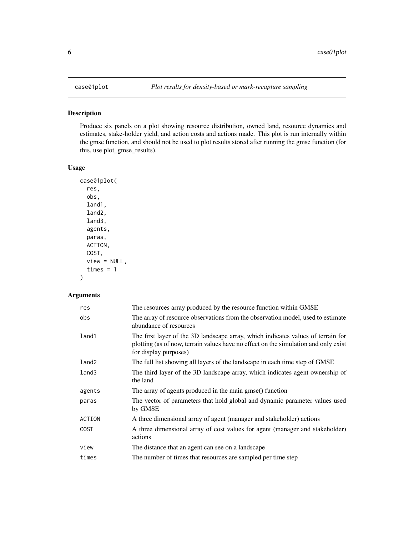<span id="page-5-0"></span>

## Description

Produce six panels on a plot showing resource distribution, owned land, resource dynamics and estimates, stake-holder yield, and action costs and actions made. This plot is run internally within the gmse function, and should not be used to plot results stored after running the gmse function (for this, use plot\_gmse\_results).

## Usage

```
case01plot(
  res,
  obs,
  land1,
  land2,
  land3,
  agents,
  paras,
  ACTION,
  COST,
  view = NULL,
  times = 1)
```
## Arguments

| res               | The resources array produced by the resource function within GMSE                                                                                                                                |
|-------------------|--------------------------------------------------------------------------------------------------------------------------------------------------------------------------------------------------|
| obs               | The array of resource observations from the observation model, used to estimate<br>abundance of resources                                                                                        |
| land1             | The first layer of the 3D landscape array, which indicates values of terrain for<br>plotting (as of now, terrain values have no effect on the simulation and only exist<br>for display purposes) |
| land <sub>2</sub> | The full list showing all layers of the landscape in each time step of GMSE                                                                                                                      |
| land3             | The third layer of the 3D landscape array, which indicates agent ownership of<br>the land                                                                                                        |
| agents            | The array of agents produced in the main gmse() function                                                                                                                                         |
| paras             | The vector of parameters that hold global and dynamic parameter values used<br>by GMSE                                                                                                           |
| ACTION            | A three dimensional array of agent (manager and stakeholder) actions                                                                                                                             |
| <b>COST</b>       | A three dimensional array of cost values for agent (manager and stakeholder)<br>actions                                                                                                          |
| view              | The distance that an agent can see on a landscape                                                                                                                                                |
| times             | The number of times that resources are sampled per time step                                                                                                                                     |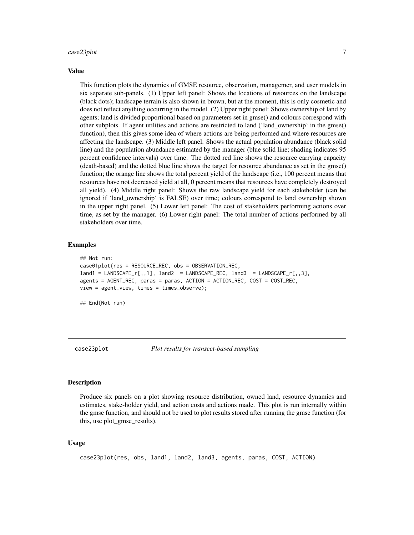#### <span id="page-6-0"></span>case23plot 7

#### Value

This function plots the dynamics of GMSE resource, observation, managemer, and user models in six separate sub-panels. (1) Upper left panel: Shows the locations of resources on the landscape (black dots); landscape terrain is also shown in brown, but at the moment, this is only cosmetic and does not reflect anything occurring in the model. (2) Upper right panel: Shows ownership of land by agents; land is divided proportional based on parameters set in gmse() and colours correspond with other subplots. If agent utilities and actions are restricted to land ('land\_ownership' in the gmse() function), then this gives some idea of where actions are being performed and where resources are affecting the landscape. (3) Middle left panel: Shows the actual population abundance (black solid line) and the population abundance estimated by the manager (blue solid line; shading indicates 95 percent confidence intervals) over time. The dotted red line shows the resource carrying capacity (death-based) and the dotted blue line shows the target for resource abundance as set in the gmse() function; the orange line shows the total percent yield of the landscape (i.e., 100 percent means that resources have not decreased yield at all, 0 percent means that resources have completely destroyed all yield). (4) Middle right panel: Shows the raw landscape yield for each stakeholder (can be ignored if 'land\_ownership' is FALSE) over time; colours correspond to land ownership shown in the upper right panel. (5) Lower left panel: The cost of stakeholders performing actions over time, as set by the manager. (6) Lower right panel: The total number of actions performed by all stakeholders over time.

## Examples

```
## Not run:
case01plot(res = RESOURCE_REC, obs = OBSERVATION_REC,
land1 = LANDSCAPE_r[,,1], land2 = LANDSCAPE_REC, land3 = LANDSCAPE_r[,,3],
agents = AGENT_REC, paras = paras, ACTION = ACTION_REC, COST = COST_REC,
view = agent_view, times = times_observe);
## End(Not run)
```
case23plot *Plot results for transect-based sampling*

#### Description

Produce six panels on a plot showing resource distribution, owned land, resource dynamics and estimates, stake-holder yield, and action costs and actions made. This plot is run internally within the gmse function, and should not be used to plot results stored after running the gmse function (for this, use plot gmse results).

```
case23plot(res, obs, land1, land2, land3, agents, paras, COST, ACTION)
```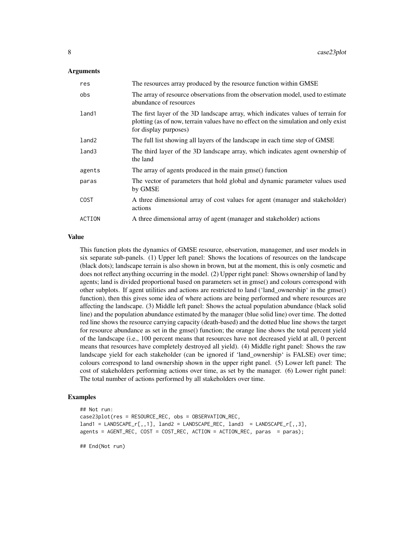#### Arguments

| res               | The resources array produced by the resource function within GMSE                                                                                                                                |
|-------------------|--------------------------------------------------------------------------------------------------------------------------------------------------------------------------------------------------|
| obs               | The array of resource observations from the observation model, used to estimate<br>abundance of resources                                                                                        |
| land1             | The first layer of the 3D landscape array, which indicates values of terrain for<br>plotting (as of now, terrain values have no effect on the simulation and only exist<br>for display purposes) |
| land <sub>2</sub> | The full list showing all layers of the landscape in each time step of GMSE                                                                                                                      |
| land3             | The third layer of the 3D landscape array, which indicates agent ownership of<br>the land                                                                                                        |
| agents            | The array of agents produced in the main gmse() function                                                                                                                                         |
| paras             | The vector of parameters that hold global and dynamic parameter values used<br>by GMSE                                                                                                           |
| <b>COST</b>       | A three dimensional array of cost values for agent (manager and stakeholder)<br>actions                                                                                                          |
| ACTION            | A three dimensional array of agent (manager and stakeholder) actions                                                                                                                             |

#### Value

This function plots the dynamics of GMSE resource, observation, managemer, and user models in six separate sub-panels. (1) Upper left panel: Shows the locations of resources on the landscape (black dots); landscape terrain is also shown in brown, but at the moment, this is only cosmetic and does not reflect anything occurring in the model. (2) Upper right panel: Shows ownership of land by agents; land is divided proportional based on parameters set in gmse() and colours correspond with other subplots. If agent utilities and actions are restricted to land ('land\_ownership' in the gmse() function), then this gives some idea of where actions are being performed and where resources are affecting the landscape. (3) Middle left panel: Shows the actual population abundance (black solid line) and the population abundance estimated by the manager (blue solid line) over time. The dotted red line shows the resource carrying capacity (death-based) and the dotted blue line shows the target for resource abundance as set in the gmse() function; the orange line shows the total percent yield of the landscape (i.e., 100 percent means that resources have not decreased yield at all, 0 percent means that resources have completely destroyed all yield). (4) Middle right panel: Shows the raw landscape yield for each stakeholder (can be ignored if 'land\_ownership' is FALSE) over time; colours correspond to land ownership shown in the upper right panel. (5) Lower left panel: The cost of stakeholders performing actions over time, as set by the manager. (6) Lower right panel: The total number of actions performed by all stakeholders over time.

#### Examples

```
## Not run:
case23plot(res = RESOURCE_REC, obs = OBSERVATION_REC,
land1 = LANDSCAPE_r[,, 1], land2 = LANDSCAPE_REC, land3 = LANDSCAPE_r[,, 3],agents = AGENT_REC, COST = COST_REC, ACTION = ACTION_REC, paras = paras);
```
## End(Not run)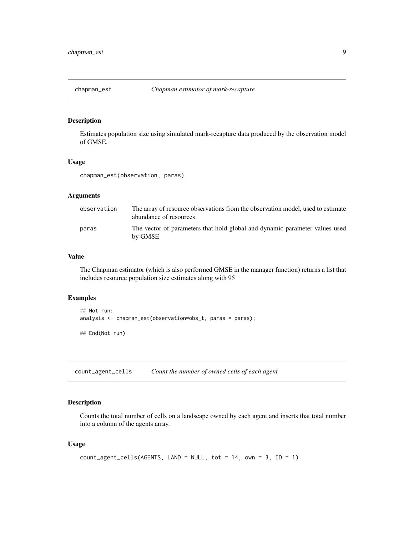<span id="page-8-0"></span>

## Description

Estimates population size using simulated mark-recapture data produced by the observation model of GMSE.

#### Usage

chapman\_est(observation, paras)

### Arguments

| observation | The array of resource observations from the observation model, used to estimate<br>abundance of resources |
|-------------|-----------------------------------------------------------------------------------------------------------|
| paras       | The vector of parameters that hold global and dynamic parameter values used<br>by GMSE                    |

## Value

The Chapman estimator (which is also performed GMSE in the manager function) returns a list that includes resource population size estimates along with 95

## Examples

```
## Not run:
analysis <- chapman_est(observation=obs_t, paras = paras);
## End(Not run)
```
count\_agent\_cells *Count the number of owned cells of each agent*

## Description

Counts the total number of cells on a landscape owned by each agent and inserts that total number into a column of the agents array.

```
count\_agent\_cells(AGENTS, LAND = NULL, tot = 14, own = 3, ID = 1)
```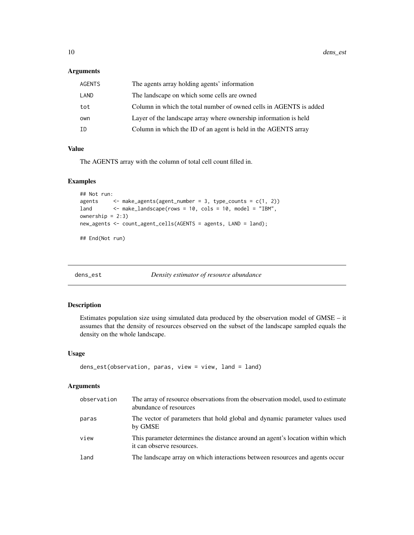#### <span id="page-9-0"></span>Arguments

| <b>AGENTS</b> | The agents array holding agents' information                       |
|---------------|--------------------------------------------------------------------|
| LAND          | The landscape on which some cells are owned                        |
| tot           | Column in which the total number of owned cells in AGENTS is added |
| own           | Layer of the landscape array where ownership information is held   |
| ΙD            | Column in which the ID of an agent is held in the AGENTS array     |

## Value

The AGENTS array with the column of total cell count filled in.

#### Examples

```
## Not run:
agents \leq make_agents(agent_number = 3, type_counts = c(1, 2))
land <- make_landscape(rows = 10, cols = 10, model = "IBM",
ownership = 2:3)new_agents <- count_agent_cells(AGENTS = agents, LAND = land);
```
## End(Not run)

dens\_est *Density estimator of resource abundance*

## Description

Estimates population size using simulated data produced by the observation model of GMSE – it assumes that the density of resources observed on the subset of the landscape sampled equals the density on the whole landscape.

## Usage

```
dens_est(observation, paras, view = view, land = land)
```
## Arguments

| observation | The array of resource observations from the observation model, used to estimate<br>abundance of resources   |
|-------------|-------------------------------------------------------------------------------------------------------------|
| paras       | The vector of parameters that hold global and dynamic parameter values used<br>by GMSE                      |
| view        | This parameter determines the distance around an agent's location within which<br>it can observe resources. |
| land        | The landscape array on which interactions between resources and agents occur                                |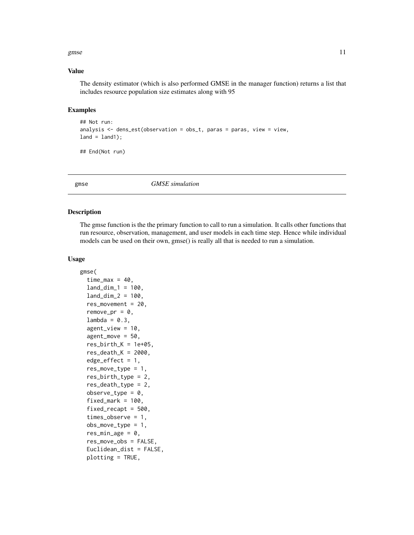#### <span id="page-10-0"></span>gmse to the state of the state of the state of the state of the state of the state of the state of the state of the state of the state of the state of the state of the state of the state of the state of the state of the st

#### Value

The density estimator (which is also performed GMSE in the manager function) returns a list that includes resource population size estimates along with 95

#### Examples

```
## Not run:
analysis \leq dens_est(observation = obs_t, paras = paras, view = view,
land = land1;
```
## End(Not run)

gmse *GMSE simulation*

#### Description

The gmse function is the the primary function to call to run a simulation. It calls other functions that run resource, observation, management, and user models in each time step. Hence while individual models can be used on their own, gmse() is really all that is needed to run a simulation.

```
gmse(
  time_max = 40,
  land\_dim_1 = 100,
  land\_dim_2 = 100,
  res_movement = 20,
  remove_pr = 0,
  lambda = 0.3,
  agent\_view = 10,
  agent_move = 50,
  res\_birth_K = 1e+05,
  res\_death_K = 2000,
  edge_{\text{eff}} = 1,
  res_move_type = 1,
  res_birth_type = 2,
  res_death_type = 2,
  observe_type = 0,
  fixed\_mark = 100,
  fixed_recapt = 500,
  times_observe = 1,
  obs_move_type = 1,
  res\_min\_age = 0,
  res_move_obs = FALSE,
  Euclidean_dist = FALSE,
  plotting = TRUE,
```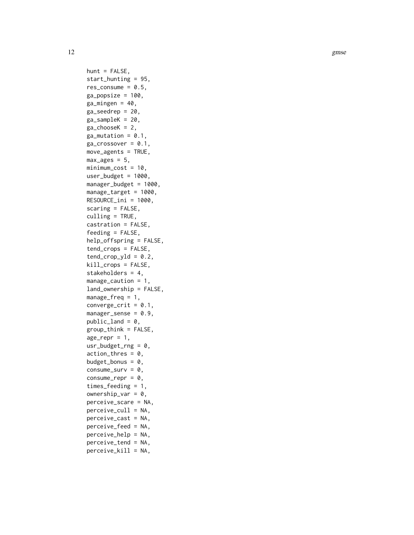12 gmse

 $hunt = FALSE,$ start\_hunting = 95, res\_consume =  $0.5$ ,  $ga_{\text{popsize}} = 100$ ,  $ga\_mingen = 40,$ ga\_seedrep = 20,  $ga$ \_sampleK = 20,  $ga\_chooseK = 2$ ,  $ga_m$ utation =  $0.1$ ,  $ga\_crossover = 0.1$ , move\_agents = TRUE,  $max\_ages = 5$ ,  $minimum\_cost = 10$ , user\_budget =  $1000$ , manager\_budget = 1000, manage\_target = 1000, RESOURCE\_ini = 1000, scaring = FALSE, culling = TRUE, castration = FALSE, feeding = FALSE, help\_offspring = FALSE, tend\_crops = FALSE,  $tend_crop_yld = 0.2$ , kill\_crops = FALSE, stakeholders = 4, manage\_caution = 1, land\_ownership = FALSE, manage\_freq =  $1$ , converge\_crit =  $0.1$ ,  $m$ anager\_sense =  $0.9$ ,  $public$  and = 0, group\_think = FALSE,  $age_{pre}$ repr = 1, usr\_budget\_rng =  $0$ ,  $action_{thres} = 0$ , budget\_bonus =  $0$ , consume\_surv =  $0$ , consume\_repr =  $0$ , times\_feeding = 1, ownership\_var =  $0$ , perceive\_scare = NA, perceive\_cull = NA, perceive\_cast = NA, perceive\_feed = NA, perceive\_help = NA, perceive\_tend = NA, perceive\_kill = NA,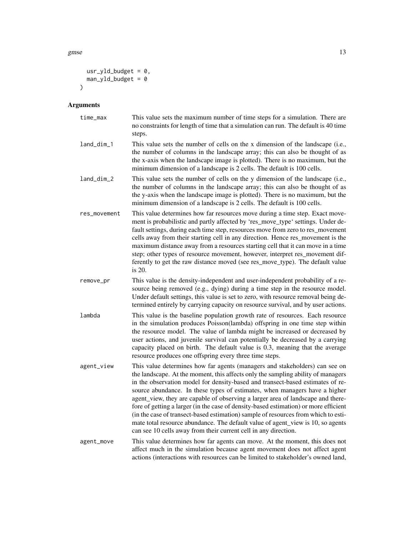gmse  $\qquad 13$ 

```
usr_yld_budget = 0,
   man_yld_budget = 0
\mathcal{L}
```
## Arguments

| time_max     | This value sets the maximum number of time steps for a simulation. There are<br>no constraints for length of time that a simulation can run. The default is 40 time<br>steps.                                                                                                                                                                                                                                                                                                                                                                                                                                                                                                                                                                          |
|--------------|--------------------------------------------------------------------------------------------------------------------------------------------------------------------------------------------------------------------------------------------------------------------------------------------------------------------------------------------------------------------------------------------------------------------------------------------------------------------------------------------------------------------------------------------------------------------------------------------------------------------------------------------------------------------------------------------------------------------------------------------------------|
| land_dim_1   | This value sets the number of cells on the x dimension of the landscape (i.e.,<br>the number of columns in the landscape array; this can also be thought of as<br>the x-axis when the landscape image is plotted). There is no maximum, but the<br>minimum dimension of a landscape is 2 cells. The default is 100 cells.                                                                                                                                                                                                                                                                                                                                                                                                                              |
| land_dim_2   | This value sets the number of cells on the y dimension of the landscape (i.e.,<br>the number of columns in the landscape array; this can also be thought of as<br>the y-axis when the landscape image is plotted). There is no maximum, but the<br>minimum dimension of a landscape is 2 cells. The default is 100 cells.                                                                                                                                                                                                                                                                                                                                                                                                                              |
| res_movement | This value determines how far resources move during a time step. Exact move-<br>ment is probabilistic and partly affected by 'res_move_type' settings. Under de-<br>fault settings, during each time step, resources move from zero to res_movement<br>cells away from their starting cell in any direction. Hence res_movement is the<br>maximum distance away from a resources starting cell that it can move in a time<br>step; other types of resource movement, however, interpret res_movement dif-<br>ferently to get the raw distance moved (see res_move_type). The default value<br>is 20.                                                                                                                                                   |
| remove_pr    | This value is the density-independent and user-independent probability of a re-<br>source being removed (e.g., dying) during a time step in the resource model.<br>Under default settings, this value is set to zero, with resource removal being de-<br>termined entirely by carrying capacity on resource survival, and by user actions.                                                                                                                                                                                                                                                                                                                                                                                                             |
| lambda       | This value is the baseline population growth rate of resources. Each resource<br>in the simulation produces Poisson(lambda) offspring in one time step within<br>the resource model. The value of lambda might be increased or decreased by<br>user actions, and juvenile survival can potentially be decreased by a carrying<br>capacity placed on birth. The default value is 0.3, meaning that the average<br>resource produces one offspring every three time steps.                                                                                                                                                                                                                                                                               |
| agent_view   | This value determines how far agents (managers and stakeholders) can see on<br>the landscape. At the moment, this affects only the sampling ability of managers<br>in the observation model for density-based and transect-based estimates of re-<br>source abundance. In these types of estimates, when managers have a higher<br>agent_view, they are capable of observing a larger area of landscape and there-<br>fore of getting a larger (in the case of density-based estimation) or more efficient<br>(in the case of transect-based estimation) sample of resources from which to esti-<br>mate total resource abundance. The default value of agent_view is 10, so agents<br>can see 10 cells away from their current cell in any direction. |
| agent_move   | This value determines how far agents can move. At the moment, this does not<br>affect much in the simulation because agent movement does not affect agent<br>actions (interactions with resources can be limited to stakeholder's owned land,                                                                                                                                                                                                                                                                                                                                                                                                                                                                                                          |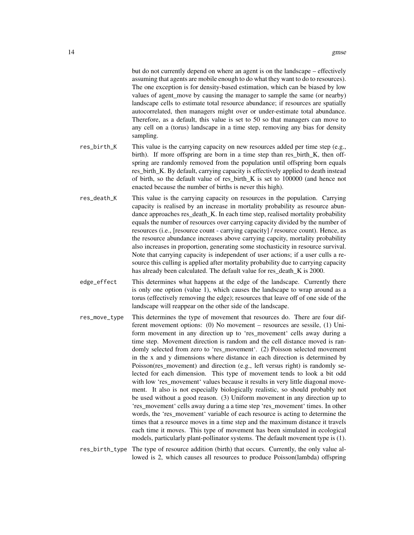but do not currently depend on where an agent is on the landscape – effectively assuming that agents are mobile enough to do what they want to do to resources). The one exception is for density-based estimation, which can be biased by low values of agent\_move by causing the manager to sample the same (or nearby) landscape cells to estimate total resource abundance; if resources are spatially autocorrelated, then managers might over or under-estimate total abundance. Therefore, as a default, this value is set to 50 so that managers can move to any cell on a (torus) landscape in a time step, removing any bias for density sampling.

- res\_birth\_K This value is the carrying capacity on new resources added per time step (e.g., birth). If more offspring are born in a time step than res\_birth\_K, then offspring are randomly removed from the population until offspring born equals res\_birth\_K. By default, carrying capacity is effectively applied to death instead of birth, so the default value of res\_birth\_K is set to 100000 (and hence not enacted because the number of births is never this high).
- res\_death\_K This value is the carrying capacity on resources in the population. Carrying capacity is realised by an increase in mortality probability as resource abundance approaches res\_death\_K. In each time step, realised mortality probability equals the number of resources over carrying capacity divided by the number of resources (i.e., [resource count - carrying capacity] / resource count). Hence, as the resource abundance increases above carrying capcity, mortality probability also increases in proportion, generating some stochasticity in resource survival. Note that carrying capacity is independent of user actions; if a user culls a resource this culling is applied after mortality probability due to carrying capacity has already been calculated. The default value for res\_death\_K is 2000.
- edge\_effect This determines what happens at the edge of the landscape. Currently there is only one option (value 1), which causes the landscape to wrap around as a torus (effectively removing the edge); resources that leave off of one side of the landscape will reappear on the other side of the landscape.
- res\_move\_type This determines the type of movement that resources do. There are four different movement options: (0) No movement – resources are sessile, (1) Uniform movement in any direction up to 'res\_movement' cells away during a time step. Movement direction is random and the cell distance moved is randomly selected from zero to 'res\_movement'. (2) Poisson selected movement in the x and y dimensions where distance in each direction is determined by Poisson(res movement) and direction (e.g., left versus right) is randomly selected for each dimension. This type of movement tends to look a bit odd with low 'res\_movement' values because it results in very little diagonal movement. It also is not especially biologically realistic, so should probably not be used without a good reason. (3) Uniform movement in any direction up to 'res\_movement' cells away during a a time step 'res\_movement' times. In other words, the 'res\_movement' variable of each resource is acting to determine the times that a resource moves in a time step and the maximum distance it travels each time it moves. This type of movement has been simulated in ecological models, particularly plant-pollinator systems. The default movement type is (1).
- res\_birth\_type The type of resource addition (birth) that occurs. Currently, the only value allowed is 2, which causes all resources to produce Poisson(lambda) offspring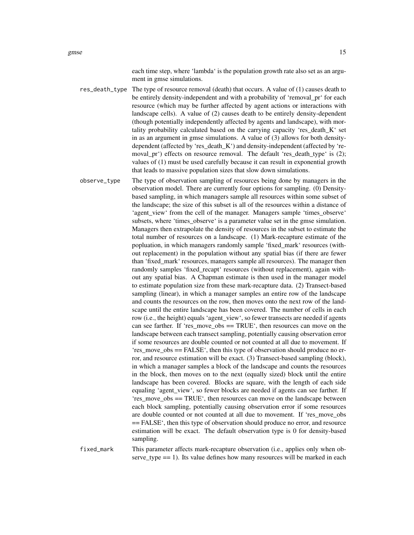each time step, where 'lambda' is the population growth rate also set as an argument in gmse simulations.

res\_death\_type The type of resource removal (death) that occurs. A value of (1) causes death to be entirely density-independent and with a probability of 'removal\_pr' for each resource (which may be further affected by agent actions or interactions with landscape cells). A value of (2) causes death to be entirely density-dependent (though potentially independently affected by agents and landscape), with mortality probability calculated based on the carrying capacity 'res\_death\_K' set in as an argument in gmse simulations. A value of (3) allows for both densitydependent (affected by 'res\_death\_K') and density-independent (affected by 'removal\_pr') effects on resource removal. The default 'res\_death\_type' is (2); values of (1) must be used carefully because it can result in exponential growth that leads to massive population sizes that slow down simulations.

observe\_type The type of observation sampling of resources being done by managers in the observation model. There are currently four options for sampling. (0) Densitybased sampling, in which managers sample all resources within some subset of the landscape; the size of this subset is all of the resources within a distance of 'agent\_view' from the cell of the manager. Managers sample 'times\_observe' subsets, where 'times observe' is a parameter value set in the gmse simulation. Managers then extrapolate the density of resources in the subset to estimate the total number of resources on a landscape. (1) Mark-recapture estimate of the popluation, in which managers randomly sample 'fixed\_mark' resources (without replacement) in the population without any spatial bias (if there are fewer than 'fixed\_mark' resources, managers sample all resources). The manager then randomly samples 'fixed recapt' resources (without replacement), again without any spatial bias. A Chapman estimate is then used in the manager model to estimate population size from these mark-recapture data. (2) Transect-based sampling (linear), in which a manager samples an entire row of the landscape and counts the resources on the row, then moves onto the next row of the landscape until the entire landscape has been covered. The number of cells in each row (i.e., the height) equals 'agent\_view', so fewer transects are needed if agents can see farther. If 'res\_move\_obs == TRUE', then resources can move on the landscape between each transect sampling, potentially causing observation error if some resources are double counted or not counted at all due to movement. If 'res\_move\_obs == FALSE', then this type of observation should produce no error, and resource estimation will be exact. (3) Transect-based sampling (block), in which a manager samples a block of the landscape and counts the resources in the block, then moves on to the next (equally sized) block until the entire landscape has been covered. Blocks are square, with the length of each side equaling 'agent\_view', so fewer blocks are needed if agents can see farther. If 'res move obs == TRUE', then resources can move on the landscape between each block sampling, potentially causing observation error if some resources are double counted or not counted at all due to movement. If 'res\_move\_obs == FALSE', then this type of observation should produce no error, and resource estimation will be exact. The default observation type is 0 for density-based sampling.

fixed\_mark This parameter affects mark-recapture observation (i.e., applies only when observe\_type == 1). Its value defines how many resources will be marked in each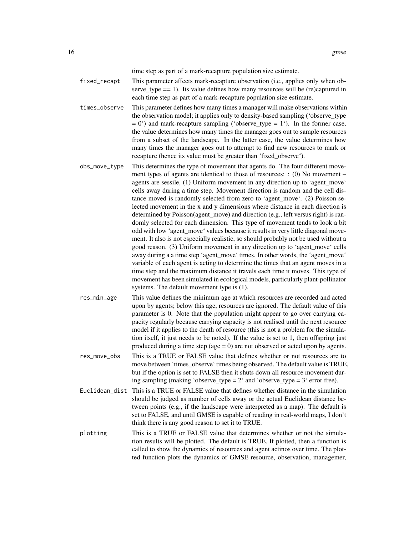time step as part of a mark-recapture population size estimate.

- fixed\_recapt This parameter affects mark-recapture observation (i.e., applies only when observe\_type == 1). Its value defines how many resources will be (re)captured in each time step as part of a mark-recapture population size estimate.
- times\_observe This parameter defines how many times a manager will make observations within the observation model; it applies only to density-based sampling ('observe\_type  $= 0$ <sup>t</sup>) and mark-recapture sampling ('observe\_type  $= 1$ '). In the former case, the value determines how many times the manager goes out to sample resources from a subset of the landscape. In the latter case, the value determines how many times the manager goes out to attempt to find new resources to mark or recapture (hence its value must be greater than 'fixed\_observe').
- obs\_move\_type This determines the type of movement that agents do. The four different movement types of agents are identical to those of resources: : (0) No movement – agents are sessile, (1) Uniform movement in any direction up to 'agent\_move' cells away during a time step. Movement direction is random and the cell distance moved is randomly selected from zero to 'agent\_move'. (2) Poisson selected movement in the x and y dimensions where distance in each direction is determined by Poisson(agent\_move) and direction (e.g., left versus right) is randomly selected for each dimension. This type of movement tends to look a bit odd with low 'agent\_move' values because it results in very little diagonal movement. It also is not especially realistic, so should probably not be used without a good reason. (3) Uniform movement in any direction up to 'agent\_move' cells away during a a time step 'agent\_move' times. In other words, the 'agent\_move' variable of each agent is acting to determine the times that an agent moves in a time step and the maximum distance it travels each time it moves. This type of movement has been simulated in ecological models, particularly plant-pollinator systems. The default movement type is (1).
- res\_min\_age This value defines the minimum age at which resources are recorded and acted upon by agents; below this age, resources are ignored. The default value of this parameter is 0. Note that the population might appear to go over carrying capacity regularly because carrying capacity is not realised until the next resource model if it applies to the death of resource (this is not a problem for the simulation itself, it just needs to be noted). If the value is set to 1, then offspring just produced during a time step (age  $= 0$ ) are not observed or acted upon by agents.
- res\_move\_obs This is a TRUE or FALSE value that defines whether or not resources are to move between 'times\_observe' times being observed. The default value is TRUE, but if the option is set to FALSE then it shuts down all resource movement during sampling (making 'observe\_type =  $2'$  and 'observe\_type =  $3'$  error free).
- Euclidean\_dist This is a TRUE or FALSE value that defines whether distance in the simulation should be judged as number of cells away or the actual Euclidean distance between points (e.g., if the landscape were interpreted as a map). The default is set to FALSE, and until GMSE is capable of reading in real-world maps, I don't think there is any good reason to set it to TRUE.
- plotting This is a TRUE or FALSE value that determines whether or not the simulation results will be plotted. The default is TRUE. If plotted, then a function is called to show the dynamics of resources and agent actinos over time. The plotted function plots the dynamics of GMSE resource, observation, managemer,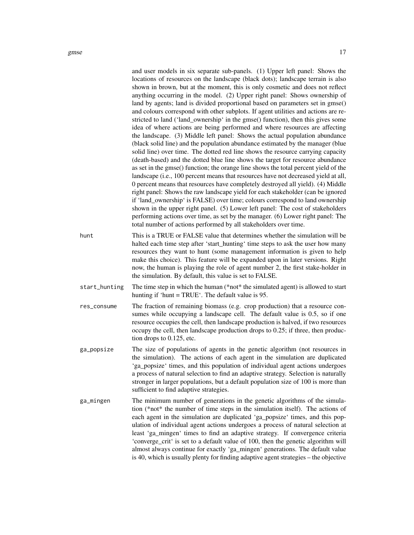|               | and user models in six separate sub-panels. (1) Upper left panel: Shows the<br>locations of resources on the landscape (black dots); landscape terrain is also<br>shown in brown, but at the moment, this is only cosmetic and does not reflect<br>anything occurring in the model. (2) Upper right panel: Shows ownership of<br>land by agents; land is divided proportional based on parameters set in gmse()<br>and colours correspond with other subplots. If agent utilities and actions are re-<br>stricted to land ('land_ownership' in the gmse() function), then this gives some<br>idea of where actions are being performed and where resources are affecting<br>the landscape. (3) Middle left panel: Shows the actual population abundance<br>(black solid line) and the population abundance estimated by the manager (blue<br>solid line) over time. The dotted red line shows the resource carrying capacity<br>(death-based) and the dotted blue line shows the target for resource abundance<br>as set in the gmse() function; the orange line shows the total percent yield of the<br>landscape (i.e., 100 percent means that resources have not decreased yield at all,<br>0 percent means that resources have completely destroyed all yield). (4) Middle<br>right panel: Shows the raw landscape yield for each stakeholder (can be ignored<br>if 'land_ownership' is FALSE) over time; colours correspond to land ownership<br>shown in the upper right panel. (5) Lower left panel: The cost of stakeholders<br>performing actions over time, as set by the manager. (6) Lower right panel: The<br>total number of actions performed by all stakeholders over time. |
|---------------|---------------------------------------------------------------------------------------------------------------------------------------------------------------------------------------------------------------------------------------------------------------------------------------------------------------------------------------------------------------------------------------------------------------------------------------------------------------------------------------------------------------------------------------------------------------------------------------------------------------------------------------------------------------------------------------------------------------------------------------------------------------------------------------------------------------------------------------------------------------------------------------------------------------------------------------------------------------------------------------------------------------------------------------------------------------------------------------------------------------------------------------------------------------------------------------------------------------------------------------------------------------------------------------------------------------------------------------------------------------------------------------------------------------------------------------------------------------------------------------------------------------------------------------------------------------------------------------------------------------------------------------------------------------------------------------------|
| hunt          | This is a TRUE or FALSE value that determines whether the simulation will be<br>halted each time step after 'start_hunting' time steps to ask the user how many<br>resources they want to hunt (some management information is given to help<br>make this choice). This feature will be expanded upon in later versions. Right<br>now, the human is playing the role of agent number 2, the first stake-holder in<br>the simulation. By default, this value is set to FALSE.                                                                                                                                                                                                                                                                                                                                                                                                                                                                                                                                                                                                                                                                                                                                                                                                                                                                                                                                                                                                                                                                                                                                                                                                                |
| start_hunting | The time step in which the human (*not* the simulated agent) is allowed to start<br>hunting if 'hunt = TRUE'. The default value is 95.                                                                                                                                                                                                                                                                                                                                                                                                                                                                                                                                                                                                                                                                                                                                                                                                                                                                                                                                                                                                                                                                                                                                                                                                                                                                                                                                                                                                                                                                                                                                                      |
| res_consume   | The fraction of remaining biomass (e.g. crop production) that a resource con-<br>sumes while occupying a landscape cell. The default value is 0.5, so if one<br>resource occupies the cell, then landscape production is halved, if two resources<br>occupy the cell, then landscape production drops to 0.25; if three, then produc-<br>tion drops to 0.125, etc.                                                                                                                                                                                                                                                                                                                                                                                                                                                                                                                                                                                                                                                                                                                                                                                                                                                                                                                                                                                                                                                                                                                                                                                                                                                                                                                          |
| ga_popsize    | The size of populations of agents in the genetic algorithm (not resources in<br>the simulation). The actions of each agent in the simulation are duplicated<br>'ga_popsize' times, and this population of individual agent actions undergoes<br>a process of natural selection to find an adaptive strategy. Selection is naturally<br>stronger in larger populations, but a default population size of 100 is more than<br>sufficient to find adaptive strategies.                                                                                                                                                                                                                                                                                                                                                                                                                                                                                                                                                                                                                                                                                                                                                                                                                                                                                                                                                                                                                                                                                                                                                                                                                         |
| ga_mingen     | The minimum number of generations in the genetic algorithms of the simula-<br>tion (*not* the number of time steps in the simulation itself). The actions of<br>each agent in the simulation are duplicated 'ga_popsize' times, and this pop-<br>ulation of individual agent actions undergoes a process of natural selection at<br>least 'ga_mingen' times to find an adaptive strategy. If convergence criteria<br>'converge_crit' is set to a default value of 100, then the genetic algorithm will<br>almost always continue for exactly 'ga_mingen' generations. The default value<br>is 40, which is usually plenty for finding adaptive agent strategies – the objective                                                                                                                                                                                                                                                                                                                                                                                                                                                                                                                                                                                                                                                                                                                                                                                                                                                                                                                                                                                                             |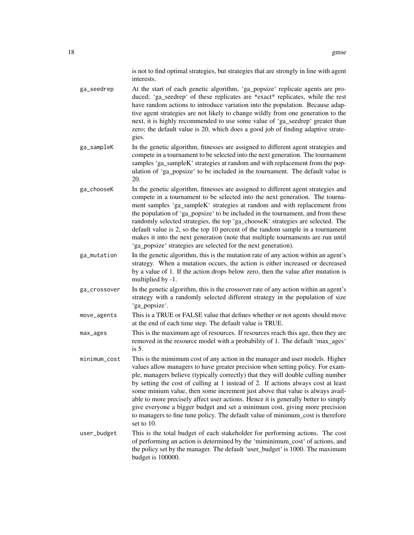is not to find optimal strategies, but strategies that are strongly in line with agent interests.

- ga\_seedrep At the start of each genetic algorithm, 'ga\_popsize' replicate agents are produced; 'ga\_seedrep' of these replicates are \*exact\* replicates, while the rest have random actions to introduce variation into the population. Because adaptive agent strategies are not likely to change wildly from one generation to the next, it is highly recommended to use some value of 'ga\_seedrep' greater than zero; the default value is 20, which does a good job of finding adaptive strategies.
- ga\_sampleK In the genetic algorithm, fitnesses are assigned to different agent strategies and compete in a tournament to be selected into the next generation. The tournament samples 'ga\_sampleK' strategies at random and with replacement from the population of 'ga\_popsize' to be included in the tournament. The default value is 20.
- ga\_chooseK In the genetic algorithm, fitnesses are assigned to different agent strategies and compete in a tournament to be selected into the next generation. The tournament samples 'ga\_sampleK' strategies at random and with replacement from the population of 'ga\_popsize' to be included in the tournament, and from these randomly selected strategies, the top 'ga\_chooseK' strategies are selected. The default value is 2, so the top 10 percent of the random sample in a tournament makes it into the next generation (note that multiple tournaments are run until 'ga\_popsize' strategies are selected for the next generation).
- ga\_mutation In the genetic algorithm, this is the mutation rate of any action within an agent's strategy. When a mutation occurs, the action is either increased or decreased by a value of 1. If the action drops below zero, then the value after mutation is multiplied by -1.
- ga\_crossover In the genetic algorithm, this is the crossover rate of any action within an agent's strategy with a randomly selected different strategy in the population of size 'ga\_popsize'.

move\_agents This is a TRUE or FALSE value that defines whether or not agents should move at the end of each time step. The default value is TRUE.

- max\_ages This is the maximum age of resources. If resources reach this age, then they are removed in the resource model with a probability of 1. The default 'max\_ages' is 5.
- minimum\_cost This is the mimimum cost of any action in the manager and user models. Higher values allow managers to have greater precision when setting policy. For example, managers believe (typically correctly) that they will double culling number by setting the cost of culling at 1 instead of 2. If actions always cost at least some minium value, then some increment just above that value is always available to more precisely affect user actions. Hence it is generally better to simply give everyone a bigger budget and set a minimum cost, giving more precision to managers to fine tune policy. The default value of minimum\_cost is therefore set to 10.
- user\_budget This is the total budget of each stakeholder for performing actions. The cost of performing an action is determined by the 'miminimum\_cost' of actions, and the policy set by the manager. The default 'user\_budget' is 1000. The maximum budget is 100000.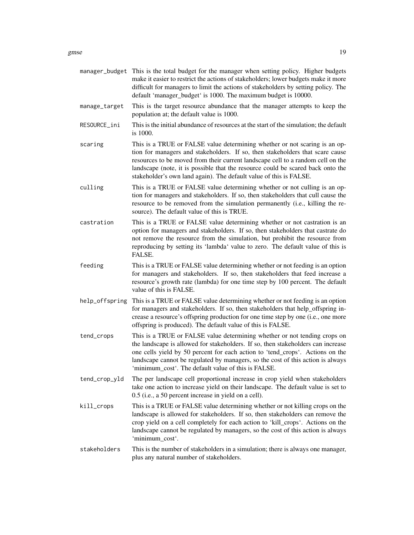|                | manager_budget This is the total budget for the manager when setting policy. Higher budgets<br>make it easier to restrict the actions of stakeholders; lower budgets make it more<br>difficult for managers to limit the actions of stakeholders by setting policy. The<br>default 'manager_budget' is 1000. The maximum budget is 10000.                                                               |
|----------------|---------------------------------------------------------------------------------------------------------------------------------------------------------------------------------------------------------------------------------------------------------------------------------------------------------------------------------------------------------------------------------------------------------|
| manage_target  | This is the target resource abundance that the manager attempts to keep the<br>population at; the default value is 1000.                                                                                                                                                                                                                                                                                |
| RESOURCE_ini   | This is the initial abundance of resources at the start of the simulation; the default<br>is 1000.                                                                                                                                                                                                                                                                                                      |
| scaring        | This is a TRUE or FALSE value determining whether or not scaring is an op-<br>tion for managers and stakeholders. If so, then stakeholders that scare cause<br>resources to be moved from their current landscape cell to a random cell on the<br>landscape (note, it is possible that the resource could be scared back onto the<br>stakeholder's own land again). The default value of this is FALSE. |
| culling        | This is a TRUE or FALSE value determining whether or not culling is an op-<br>tion for managers and stakeholders. If so, then stakeholders that cull cause the<br>resource to be removed from the simulation permanently (i.e., killing the re-<br>source). The default value of this is TRUE.                                                                                                          |
| castration     | This is a TRUE or FALSE value determining whether or not castration is an<br>option for managers and stakeholders. If so, then stakeholders that castrate do<br>not remove the resource from the simulation, but prohibit the resource from<br>reproducing by setting its 'lambda' value to zero. The default value of this is<br>FALSE.                                                                |
| feeding        | This is a TRUE or FALSE value determining whether or not feeding is an option<br>for managers and stakeholders. If so, then stakeholders that feed increase a<br>resource's growth rate (lambda) for one time step by 100 percent. The default<br>value of this is FALSE.                                                                                                                               |
|                |                                                                                                                                                                                                                                                                                                                                                                                                         |
| help_offspring | This is a TRUE or FALSE value determining whether or not feeding is an option<br>for managers and stakeholders. If so, then stakeholders that help_offspring in-<br>crease a resource's offspring production for one time step by one (i.e., one more<br>offspring is produced). The default value of this is FALSE.                                                                                    |
| tend_crops     | This is a TRUE or FALSE value determining whether or not tending crops on<br>the landscape is allowed for stakeholders. If so, then stakeholders can increase<br>one cells yield by 50 percent for each action to 'tend_crops'. Actions on the<br>landscape cannot be regulated by managers, so the cost of this action is always<br>'minimum_cost'. The default value of this is FALSE.                |
| tend_crop_yld  | The per landscape cell proportional increase in crop yield when stakeholders<br>take one action to increase yield on their landscape. The default value is set to<br>0.5 (i.e., a 50 percent increase in yield on a cell).                                                                                                                                                                              |
| kill_crops     | This is a TRUE or FALSE value determining whether or not killing crops on the<br>landscape is allowed for stakeholders. If so, then stakeholders can remove the<br>crop yield on a cell completely for each action to 'kill_crops'. Actions on the<br>landscape cannot be regulated by managers, so the cost of this action is always<br>'minimum_cost'.                                                |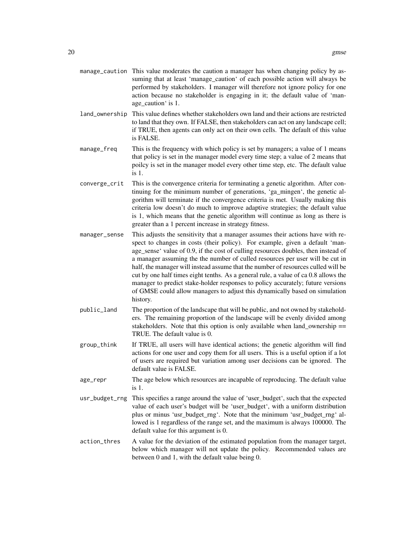- manage\_caution This value moderates the caution a manager has when changing policy by assuming that at least 'manage caution' of each possible action will always be performed by stakeholders. I manager will therefore not ignore policy for one action because no stakeholder is engaging in it; the default value of 'manage\_caution' is 1.
- land\_ownership This value defines whether stakeholders own land and their actions are restricted to land that they own. If FALSE, then stakeholders can act on any landscape cell; if TRUE, then agents can only act on their own cells. The default of this value is FALSE.
- manage\_freq This is the frequency with which policy is set by managers; a value of 1 means that policy is set in the manager model every time step; a value of 2 means that poilcy is set in the manager model every other time step, etc. The default value is 1.
- converge\_crit This is the convergence criteria for terminating a genetic algorithm. After continuing for the minimum number of generations, 'ga\_mingen', the genetic algorithm will terminate if the convergence criteria is met. Usually making this criteria low doesn't do much to improve adaptive strategies; the default value is 1, which means that the genetic algorithm will continue as long as there is greater than a 1 percent increase in strategy fitness.
- manager\_sense This adjusts the sensitivity that a manager assumes their actions have with respect to changes in costs (their policy). For example, given a default 'manage\_sense' value of 0.9, if the cost of culling resources doubles, then instead of a manager assuming the the number of culled resources per user will be cut in half, the manager will instead assume that the number of resources culled will be cut by one half times eight tenths. As a general rule, a value of ca 0.8 allows the manager to predict stake-holder responses to policy accurately; future versions of GMSE could allow managers to adjust this dynamically based on simulation history.
- public\_land The proportion of the landscape that will be public, and not owned by stakeholders. The remaining proportion of the landscape will be evenly divided among stakeholders. Note that this option is only available when land ownership  $==$ TRUE. The default value is 0.
- group\_think If TRUE, all users will have identical actions; the genetic algorithm will find actions for one user and copy them for all users. This is a useful option if a lot of users are required but variation among user decisions can be ignored. The default value is FALSE.
- age\_repr The age below which resources are incapable of reproducing. The default value is 1.
- usr\_budget\_rng This specifies a range around the value of 'user\_budget', such that the expected value of each user's budget will be 'user\_budget', with a uniform distribution plus or minus 'usr\_budget\_rng'. Note that the minimum 'usr\_budget\_rng' allowed is 1 regardless of the range set, and the maximum is always 100000. The default value for this argument is 0.
- action\_thres A value for the deviation of the estimated population from the manager target, below which manager will not update the policy. Recommended values are between 0 and 1, with the default value being 0.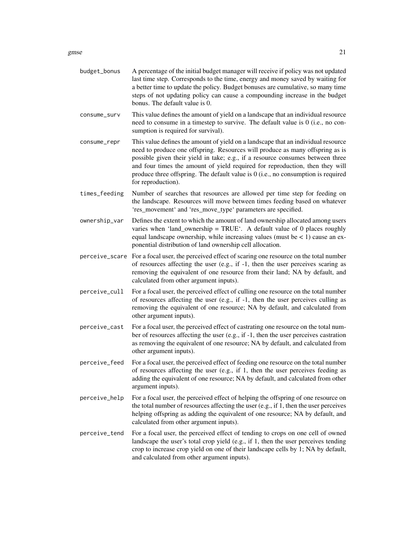gmse  $21$ 

| budget_bonus  | A percentage of the initial budget manager will receive if policy was not updated<br>last time step. Corresponds to the time, energy and money saved by waiting for<br>a better time to update the policy. Budget bonuses are cumulative, so many time<br>steps of not updating policy can cause a compounding increase in the budget<br>bonus. The default value is 0.                                                                           |
|---------------|---------------------------------------------------------------------------------------------------------------------------------------------------------------------------------------------------------------------------------------------------------------------------------------------------------------------------------------------------------------------------------------------------------------------------------------------------|
| consume_surv  | This value defines the amount of yield on a landscape that an individual resource<br>need to consume in a timestep to survive. The default value is 0 (i.e., no con-<br>sumption is required for survival).                                                                                                                                                                                                                                       |
| consume_repr  | This value defines the amount of yield on a landscape that an individual resource<br>need to produce one offspring. Resources will produce as many offspring as is<br>possible given their yield in take; e.g., if a resource consumes between three<br>and four times the amount of yield required for reproduction, then they will<br>produce three offspring. The default value is $0$ (i.e., no consumption is required<br>for reproduction). |
| times_feeding | Number of searches that resources are allowed per time step for feeding on<br>the landscape. Resources will move between times feeding based on whatever<br>'res_movement' and 'res_move_type' parameters are specified.                                                                                                                                                                                                                          |
| ownership_var | Defines the extent to which the amount of land ownership allocated among users<br>varies when 'land_ownership = TRUE'. A default value of 0 places roughly<br>equal landscape ownership, while increasing values (must be $<$ 1) cause an ex-<br>ponential distribution of land ownership cell allocation.                                                                                                                                        |
|               | perceive_scare For a focal user, the perceived effect of scaring one resource on the total number<br>of resources affecting the user (e.g., if -1, then the user perceives scaring as<br>removing the equivalent of one resource from their land; NA by default, and<br>calculated from other argument inputs).                                                                                                                                   |
| perceive_cull | For a focal user, the perceived effect of culling one resource on the total number<br>of resources affecting the user (e.g., if -1, then the user perceives culling as<br>removing the equivalent of one resource; NA by default, and calculated from<br>other argument inputs).                                                                                                                                                                  |
| perceive_cast | For a focal user, the perceived effect of castrating one resource on the total num-<br>ber of resources affecting the user (e.g., if -1, then the user perceives castration<br>as removing the equivalent of one resource; NA by default, and calculated from<br>other argument inputs).                                                                                                                                                          |
| perceive_feed | For a focal user, the perceived effect of feeding one resource on the total number<br>of resources affecting the user (e.g., if 1, then the user perceives feeding as<br>adding the equivalent of one resource; NA by default, and calculated from other<br>argument inputs).                                                                                                                                                                     |
| perceive_help | For a focal user, the perceived effect of helping the offspring of one resource on<br>the total number of resources affecting the user (e.g., if 1, then the user perceives<br>helping offspring as adding the equivalent of one resource; NA by default, and<br>calculated from other argument inputs).                                                                                                                                          |
| perceive_tend | For a focal user, the perceived effect of tending to crops on one cell of owned<br>landscape the user's total crop yield (e.g., if 1, then the user perceives tending<br>crop to increase crop yield on one of their landscape cells by 1; NA by default,<br>and calculated from other argument inputs).                                                                                                                                          |
|               |                                                                                                                                                                                                                                                                                                                                                                                                                                                   |
|               |                                                                                                                                                                                                                                                                                                                                                                                                                                                   |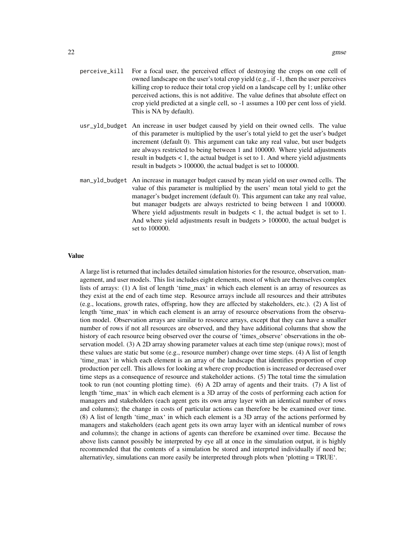- perceive\_kill For a focal user, the perceived effect of destroying the crops on one cell of owned landscape on the user's total crop yield (e.g., if -1, then the user perceives killing crop to reduce their total crop yield on a landscape cell by 1; unlike other perceived actions, this is not additive. The value defines that absolute effect on crop yield predicted at a single cell, so -1 assumes a 100 per cent loss of yield. This is NA by default).
- usr\_yld\_budget An increase in user budget caused by yield on their owned cells. The value of this parameter is multiplied by the user's total yield to get the user's budget increment (default 0). This argument can take any real value, but user budgets are always restricted to being between 1 and 100000. Where yield adjustments result in budgets < 1, the actual budget is set to 1. And where yield adjustments result in budgets > 100000, the actual budget is set to 100000.
- man\_yld\_budget An increase in manager budget caused by mean yield on user owned cells. The value of this parameter is multiplied by the users' mean total yield to get the manager's budget increment (default 0). This argument can take any real value, but manager budgets are always restricted to being between 1 and 100000. Where yield adjustments result in budgets  $\lt 1$ , the actual budget is set to 1. And where yield adjustments result in budgets > 100000, the actual budget is set to 100000.

## Value

A large list is returned that includes detailed simulation histories for the resource, observation, management, and user models. This list includes eight elements, most of which are themselves complex lists of arrays: (1) A list of length 'time\_max' in which each element is an array of resources as they exist at the end of each time step. Resource arrays include all resources and their attributes (e.g., locations, growth rates, offspring, how they are affected by stakeholders, etc.). (2) A list of length 'time max' in which each element is an array of resource observations from the observation model. Observation arrays are similar to resource arrays, except that they can have a smaller number of rows if not all resources are observed, and they have additional columns that show the history of each resource being observed over the course of 'times\_observe' observations in the observation model. (3) A 2D array showing parameter values at each time step (unique rows); most of these values are static but some (e.g., resource number) change over time steps. (4) A list of length 'time\_max' in which each element is an array of the landscape that identifies proportion of crop production per cell. This allows for looking at where crop production is increased or decreased over time steps as a consequence of resource and stakeholder actions. (5) The total time the simulation took to run (not counting plotting time). (6) A 2D array of agents and their traits. (7) A list of length 'time\_max' in which each element is a 3D array of the costs of performing each action for managers and stakeholders (each agent gets its own array layer with an identical number of rows and columns); the change in costs of particular actions can therefore be be examined over time. (8) A list of length 'time\_max' in which each element is a 3D array of the actions performed by managers and stakeholders (each agent gets its own array layer with an identical number of rows and columns); the change in actions of agents can therefore be examined over time. Because the above lists cannot possibly be interpreted by eye all at once in the simulation output, it is highly recommended that the contents of a simulation be stored and interprted individually if need be; alternativley, simulations can more easily be interpreted through plots when 'plotting = TRUE'.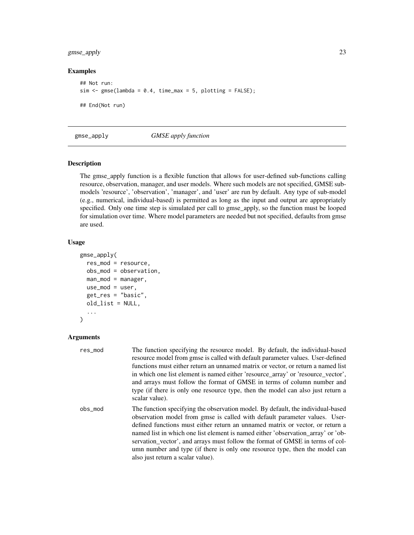## <span id="page-22-0"></span>gmse\_apply 23

## Examples

```
## Not run:
sim \le gmse(lambda = 0.4, time_max = 5, plotting = FALSE);
## End(Not run)
```
gmse\_apply *GMSE apply function*

## Description

The gmse\_apply function is a flexible function that allows for user-defined sub-functions calling resource, observation, manager, and user models. Where such models are not specified, GMSE submodels 'resource', 'observation', 'manager', and 'user' are run by default. Any type of sub-model (e.g., numerical, individual-based) is permitted as long as the input and output are appropriately specified. Only one time step is simulated per call to gmse\_apply, so the function must be looped for simulation over time. Where model parameters are needed but not specified, defaults from gmse are used.

### Usage

```
gmse_apply(
  res_mod = resource,
  obs_mod = observation,
  man_mod = manager,
  use_model = user,get_res = "basic",
  old_list = NULL,
  ...
\mathcal{L}
```
#### Arguments

| res_mod | The function specifying the resource model. By default, the individual-based<br>resource model from gmse is called with default parameter values. User-defined<br>functions must either return an unnamed matrix or vector, or return a named list<br>in which one list element is named either 'resource array' or 'resource vector',<br>and arrays must follow the format of GMSE in terms of column number and<br>type (if there is only one resource type, then the model can also just return a<br>scalar value).                  |
|---------|-----------------------------------------------------------------------------------------------------------------------------------------------------------------------------------------------------------------------------------------------------------------------------------------------------------------------------------------------------------------------------------------------------------------------------------------------------------------------------------------------------------------------------------------|
| obs_mod | The function specifying the observation model. By default, the individual-based<br>observation model from gmse is called with default parameter values. User-<br>defined functions must either return an unnamed matrix or vector, or return a<br>named list in which one list element is named either 'observation array' or 'ob-<br>servation_vector', and arrays must follow the format of GMSE in terms of col-<br>umn number and type (if there is only one resource type, then the model can<br>also just return a scalar value). |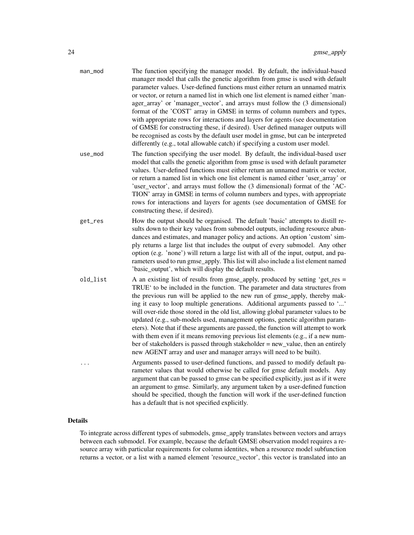| man_mod  | The function specifying the manager model. By default, the individual-based<br>manager model that calls the genetic algorithm from gmse is used with default<br>parameter values. User-defined functions must either return an unnamed matrix<br>or vector, or return a named list in which one list element is named either 'man-<br>ager_array' or 'manager_vector', and arrays must follow the (3 dimensional)<br>format of the 'COST' array in GMSE in terms of column numbers and types,<br>with appropriate rows for interactions and layers for agents (see documentation<br>of GMSE for constructing these, if desired). User defined manager outputs will<br>be recognised as costs by the default user model in gmse, but can be interpreted<br>differently (e.g., total allowable catch) if specifying a custom user model. |
|----------|----------------------------------------------------------------------------------------------------------------------------------------------------------------------------------------------------------------------------------------------------------------------------------------------------------------------------------------------------------------------------------------------------------------------------------------------------------------------------------------------------------------------------------------------------------------------------------------------------------------------------------------------------------------------------------------------------------------------------------------------------------------------------------------------------------------------------------------|
| use_mod  | The function specifying the user model. By default, the individual-based user<br>model that calls the genetic algorithm from gmse is used with default parameter<br>values. User-defined functions must either return an unnamed matrix or vector,<br>or return a named list in which one list element is named either 'user_array' or<br>'user_vector', and arrays must follow the (3 dimensional) format of the 'AC-<br>TION' array in GMSE in terms of column numbers and types, with appropriate<br>rows for interactions and layers for agents (see documentation of GMSE for<br>constructing these, if desired).                                                                                                                                                                                                                 |
| get_res  | How the output should be organised. The default 'basic' attempts to distill re-<br>sults down to their key values from submodel outputs, including resource abun-<br>dances and estimates, and manager policy and actions. An option 'custom' sim-<br>ply returns a large list that includes the output of every submodel. Any other<br>option (e.g. 'none') will return a large list with all of the input, output, and pa-<br>rameters used to run gmse_apply. This list will also include a list element named<br>'basic_output', which will display the default results.                                                                                                                                                                                                                                                           |
| old_list | A an existing list of results from gmse_apply, produced by setting 'get_res =<br>TRUE' to be included in the function. The parameter and data structures from<br>the previous run will be applied to the new run of gmse_apply, thereby mak-<br>ing it easy to loop multiple generations. Additional arguments passed to ''<br>will over-ride those stored in the old list, allowing global parameter values to be<br>updated (e.g., sub-models used, management options, genetic algorithm param-<br>eters). Note that if these arguments are passed, the function will attempt to work<br>with them even if it means removing previous list elements (e.g., if a new num-<br>ber of stakeholders is passed through stakeholder = new_value, then an entirely<br>new AGENT array and user and manager arrays will need to be built).  |
|          | Arguments passed to user-defined functions, and passed to modify default pa-<br>rameter values that would otherwise be called for gmse default models. Any<br>argument that can be passed to gmse can be specified explicitly, just as if it were<br>an argument to gmse. Similarly, any argument taken by a user-defined function<br>should be specified, though the function will work if the user-defined function<br>has a default that is not specified explicitly.                                                                                                                                                                                                                                                                                                                                                               |
|          |                                                                                                                                                                                                                                                                                                                                                                                                                                                                                                                                                                                                                                                                                                                                                                                                                                        |

## Details

To integrate across different types of submodels, gmse\_apply translates between vectors and arrays between each submodel. For example, because the default GMSE observation model requires a resource array with particular requirements for column identites, when a resource model subfunction returns a vector, or a list with a named element 'resource\_vector', this vector is translated into an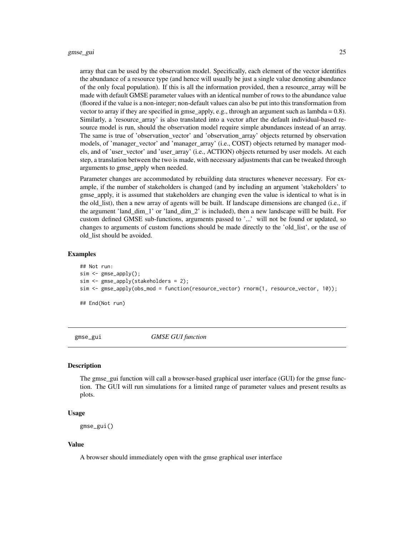<span id="page-24-0"></span>array that can be used by the observation model. Specifically, each element of the vector identifies the abundance of a resource type (and hence will usually be just a single value denoting abundance of the only focal population). If this is all the information provided, then a resource\_array will be made with default GMSE parameter values with an identical number of rows to the abundance value (floored if the value is a non-integer; non-default values can also be put into this transformation from vector to array if they are specified in gmse\_apply, e.g., through an argument such as lambda = 0.8). Similarly, a 'resource\_array' is also translated into a vector after the default individual-based resource model is run, should the observation model require simple abundances instead of an array. The same is true of 'observation vector' and 'observation array' objects returned by observation models, of 'manager\_vector' and 'manager\_array' (i.e., COST) objects returned by manager models, and of 'user\_vector' and 'user\_array' (i.e., ACTION) objects returned by user models. At each step, a translation between the two is made, with necessary adjustments that can be tweaked through arguments to gmse\_apply when needed.

Parameter changes are accommodated by rebuilding data structures whenever necessary. For example, if the number of stakeholders is changed (and by including an argument 'stakeholders' to gmse\_apply, it is assumed that stakeholders are changing even the value is identical to what is in the old\_list), then a new array of agents will be built. If landscape dimensions are changed (i.e., if the argument 'land\_dim\_1' or 'land\_dim\_2' is included), then a new landscape willl be built. For custom defined GMSE sub-functions, arguments passed to '...' will not be found or updated, so changes to arguments of custom functions should be made directly to the 'old\_list', or the use of old\_list should be avoided.

#### Examples

```
## Not run:
sim <- gmse_apply();
sim <- gmse_apply(stakeholders = 2);
sim <- gmse_apply(obs_mod = function(resource_vector) rnorm(1, resource_vector, 10));
```
## End(Not run)

gmse\_gui *GMSE GUI function*

#### Description

The gmse\_gui function will call a browser-based graphical user interface (GUI) for the gmse function. The GUI will run simulations for a limited range of parameter values and present results as plots.

#### Usage

gmse\_gui()

#### Value

A browser should immediately open with the gmse graphical user interface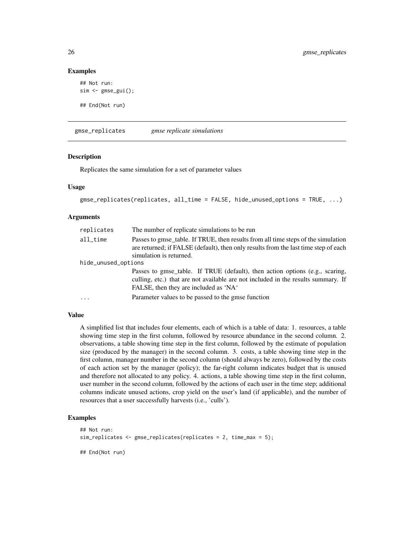#### Examples

```
## Not run:
sim <- gmse_gui();
## End(Not run)
```
gmse\_replicates *gmse replicate simulations*

#### **Description**

Replicates the same simulation for a set of parameter values

#### Usage

```
gmse_replicates(replicates, all_time = FALSE, hide_unused_options = TRUE, ...)
```
#### Arguments

| replicates              | The number of replicate simulations to be run                                                                                                                                                              |
|-------------------------|------------------------------------------------------------------------------------------------------------------------------------------------------------------------------------------------------------|
| $all$ <sub>_</sub> time | Passes to gmse_table. If TRUE, then results from all time steps of the simulation<br>are returned; if FALSE (default), then only results from the last time step of each<br>simulation is returned.        |
| hide_unused_options     |                                                                                                                                                                                                            |
|                         | Passes to gmse_table. If TRUE (default), then action options (e.g., scaring,<br>culling, etc.) that are not available are not included in the results summary. If<br>FALSE, then they are included as 'NA' |
| $\cdots$                | Parameter values to be passed to the gmse function                                                                                                                                                         |

#### Value

A simplified list that includes four elements, each of which is a table of data: 1. resources, a table showing time step in the first column, followed by resource abundance in the second column. 2. observations, a table showing time step in the first column, followed by the estimate of population size (produced by the manager) in the second column. 3. costs, a table showing time step in the first column, manager number in the second column (should always be zero), followed by the costs of each action set by the manager (policy); the far-right column indicates budget that is unused and therefore not allocated to any policy. 4. actions, a table showing time step in the first column, user number in the second column, followed by the actions of each user in the time step; additional columns indicate unused actions, crop yield on the user's land (if applicable), and the number of resources that a user successfully harvests (i.e., 'culls').

#### Examples

```
## Not run:
sim_replicates <- gmse_replicates(replicates = 2, time_max = 5);
## End(Not run)
```
<span id="page-25-0"></span>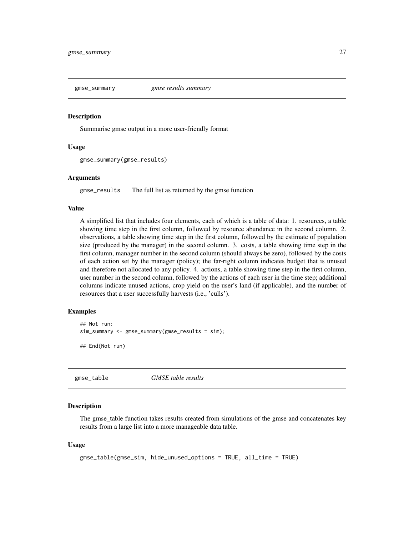<span id="page-26-0"></span>

#### Description

Summarise gmse output in a more user-friendly format

#### Usage

```
gmse_summary(gmse_results)
```
#### Arguments

gmse\_results The full list as returned by the gmse function

#### Value

A simplified list that includes four elements, each of which is a table of data: 1. resources, a table showing time step in the first column, followed by resource abundance in the second column. 2. observations, a table showing time step in the first column, followed by the estimate of population size (produced by the manager) in the second column. 3. costs, a table showing time step in the first column, manager number in the second column (should always be zero), followed by the costs of each action set by the manager (policy); the far-right column indicates budget that is unused and therefore not allocated to any policy. 4. actions, a table showing time step in the first column, user number in the second column, followed by the actions of each user in the time step; additional columns indicate unused actions, crop yield on the user's land (if applicable), and the number of resources that a user successfully harvests (i.e., 'culls').

## Examples

```
## Not run:
sim_summary <- gmse_summary(gmse_results = sim);
## End(Not run)
```
gmse\_table *GMSE table results*

#### Description

The gmse\_table function takes results created from simulations of the gmse and concatenates key results from a large list into a more manageable data table.

```
gmse_table(gmse_sim, hide_unused_options = TRUE, all_time = TRUE)
```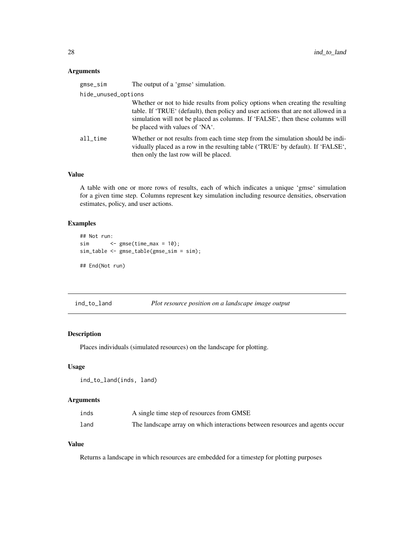## <span id="page-27-0"></span>Arguments

| gmse_sim            | The output of a 'gmse' simulation.                                                                                                                                                                                                                                                      |
|---------------------|-----------------------------------------------------------------------------------------------------------------------------------------------------------------------------------------------------------------------------------------------------------------------------------------|
| hide_unused_options |                                                                                                                                                                                                                                                                                         |
|                     | Whether or not to hide results from policy options when creating the resulting<br>table. If 'TRUE' (default), then policy and user actions that are not allowed in a<br>simulation will not be placed as columns. If 'FALSE', then these columns will<br>be placed with values of 'NA'. |
| all time            | Whether or not results from each time step from the simulation should be indi-<br>vidually placed as a row in the resulting table ('TRUE' by default). If 'FALSE',<br>then only the last row will be placed.                                                                            |

## Value

A table with one or more rows of results, each of which indicates a unique 'gmse' simulation for a given time step. Columns represent key simulation including resource densities, observation estimates, policy, and user actions.

## Examples

```
## Not run:
sim <- gmse(time_max = 10);
sim_table <- gmse_table(gmse_sim = sim);
## End(Not run)
```
ind\_to\_land *Plot resource position on a landscape image output*

## Description

Places individuals (simulated resources) on the landscape for plotting.

### Usage

```
ind_to_land(inds, land)
```
## Arguments

| inds | A single time step of resources from GMSE                                    |
|------|------------------------------------------------------------------------------|
| land | The landscape array on which interactions between resources and agents occur |

## Value

Returns a landscape in which resources are embedded for a timestep for plotting purposes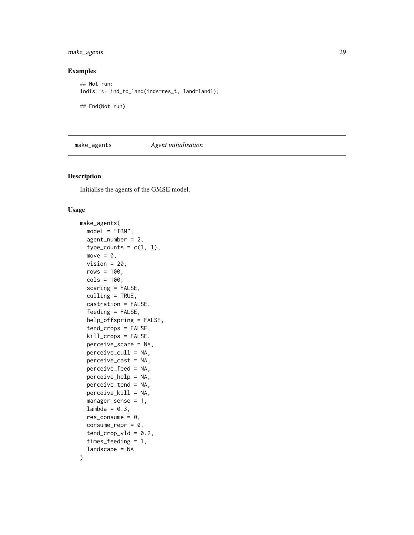<span id="page-28-0"></span>make\_agents 29

### Examples

```
## Not run:
indis <- ind_to_land(inds=res_t, land=land1);
## End(Not run)
```
## make\_agents *Agent initialisation*

## Description

Initialise the agents of the GMSE model.

```
make_agents(
 model = "IBM",
  agent_number = 2,
  type_counts = c(1, 1),move = \emptyset,
  vision = 20,
  rows = 100,
  cols = 100,
  scaring = FALSE,
  culling = TRUE,
  castration = FALSE,
  feeding = FALSE,
  help_offspring = FALSE,
  tend_crops = FALSE,
  kill_crops = FALSE,
  perceive_scare = NA,
  perceive_cull = NA,
  perceive_cast = NA,
  perceive_feed = NA,
 perceive_help = NA,
  perceive_tend = NA,
  perceive_kill = NA,
  manager_sense = 1,
  lambda = 0.3,
  res_consume = 0,
  consume_{rep} = 0,
  tend_crop_yld = 0.2,
  times_feeding = 1,
  landscape = NA
```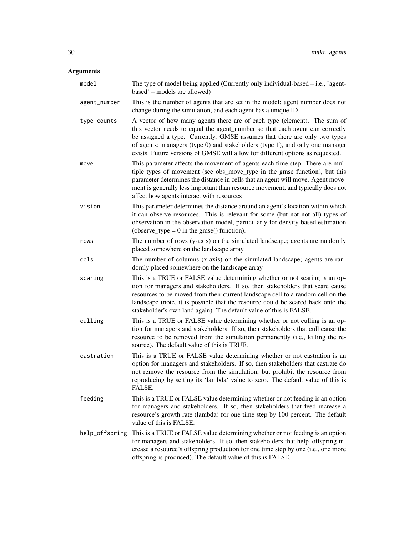## Arguments

| model          | The type of model being applied (Currently only individual-based $-$ i.e., 'agent-<br>based' - models are allowed)                                                                                                                                                                                                                                                                                      |
|----------------|---------------------------------------------------------------------------------------------------------------------------------------------------------------------------------------------------------------------------------------------------------------------------------------------------------------------------------------------------------------------------------------------------------|
| agent_number   | This is the number of agents that are set in the model; agent number does not<br>change during the simulation, and each agent has a unique ID                                                                                                                                                                                                                                                           |
| type_counts    | A vector of how many agents there are of each type (element). The sum of<br>this vector needs to equal the agent_number so that each agent can correctly<br>be assigned a type. Currently, GMSE assumes that there are only two types<br>of agents: managers (type 0) and stakeholders (type 1), and only one manager<br>exists. Future versions of GMSE will allow for different options as requested. |
| move           | This parameter affects the movement of agents each time step. There are mul-<br>tiple types of movement (see obs_move_type in the gmse function), but this<br>parameter determines the distance in cells that an agent will move. Agent move-<br>ment is generally less important than resource movement, and typically does not<br>affect how agents interact with resources                           |
| vision         | This parameter determines the distance around an agent's location within which<br>it can observe resources. This is relevant for some (but not not all) types of<br>observation in the observation model, particularly for density-based estimation<br>(observe_type = $0$ in the gmse() function).                                                                                                     |
| rows           | The number of rows (y-axis) on the simulated landscape; agents are randomly<br>placed somewhere on the landscape array                                                                                                                                                                                                                                                                                  |
| cols           | The number of columns (x-axis) on the simulated landscape; agents are ran-<br>domly placed somewhere on the landscape array                                                                                                                                                                                                                                                                             |
| scaring        | This is a TRUE or FALSE value determining whether or not scaring is an op-<br>tion for managers and stakeholders. If so, then stakeholders that scare cause<br>resources to be moved from their current landscape cell to a random cell on the<br>landscape (note, it is possible that the resource could be scared back onto the<br>stakeholder's own land again). The default value of this is FALSE. |
| culling        | This is a TRUE or FALSE value determining whether or not culling is an op-<br>tion for managers and stakeholders. If so, then stakeholders that cull cause the<br>resource to be removed from the simulation permanently (i.e., killing the re-<br>source). The default value of this is TRUE.                                                                                                          |
| castration     | This is a TRUE or FALSE value determining whether or not castration is an<br>option for managers and stakeholders. If so, then stakeholders that castrate do<br>not remove the resource from the simulation, but prohibit the resource from<br>reproducing by setting its 'lambda' value to zero. The default value of this is<br>FALSE.                                                                |
| feeding        | This is a TRUE or FALSE value determining whether or not feeding is an option<br>for managers and stakeholders. If so, then stakeholders that feed increase a<br>resource's growth rate (lambda) for one time step by 100 percent. The default<br>value of this is FALSE.                                                                                                                               |
| help_offspring | This is a TRUE or FALSE value determining whether or not feeding is an option<br>for managers and stakeholders. If so, then stakeholders that help_offspring in-<br>crease a resource's offspring production for one time step by one (i.e., one more<br>offspring is produced). The default value of this is FALSE.                                                                                    |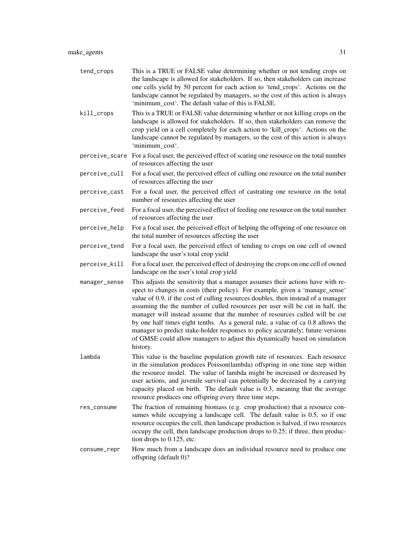| tend_crops    | This is a TRUE or FALSE value determining whether or not tending crops on<br>the landscape is allowed for stakeholders. If so, then stakeholders can increase<br>one cells yield by 50 percent for each action to 'tend_crops'. Actions on the<br>landscape cannot be regulated by managers, so the cost of this action is always<br>'minimum_cost'. The default value of this is FALSE.                                                                                                                                                                                                                                                                                               |
|---------------|----------------------------------------------------------------------------------------------------------------------------------------------------------------------------------------------------------------------------------------------------------------------------------------------------------------------------------------------------------------------------------------------------------------------------------------------------------------------------------------------------------------------------------------------------------------------------------------------------------------------------------------------------------------------------------------|
| kill_crops    | This is a TRUE or FALSE value determining whether or not killing crops on the<br>landscape is allowed for stakeholders. If so, then stakeholders can remove the<br>crop yield on a cell completely for each action to 'kill_crops'. Actions on the<br>landscape cannot be regulated by managers, so the cost of this action is always<br>'minimum_cost'.                                                                                                                                                                                                                                                                                                                               |
|               | perceive_scare For a focal user, the perceived effect of scaring one resource on the total number<br>of resources affecting the user                                                                                                                                                                                                                                                                                                                                                                                                                                                                                                                                                   |
| perceive_cull | For a focal user, the perceived effect of culling one resource on the total number<br>of resources affecting the user                                                                                                                                                                                                                                                                                                                                                                                                                                                                                                                                                                  |
| perceive_cast | For a focal user, the perceived effect of castrating one resource on the total<br>number of resources affecting the user                                                                                                                                                                                                                                                                                                                                                                                                                                                                                                                                                               |
| perceive_feed | For a focal user, the perceived effect of feeding one resource on the total number<br>of resources affecting the user                                                                                                                                                                                                                                                                                                                                                                                                                                                                                                                                                                  |
| perceive_help | For a focal user, the perceived effect of helping the offspring of one resource on<br>the total number of resources affecting the user                                                                                                                                                                                                                                                                                                                                                                                                                                                                                                                                                 |
| perceive_tend | For a focal user, the perceived effect of tending to crops on one cell of owned<br>landscape the user's total crop yield                                                                                                                                                                                                                                                                                                                                                                                                                                                                                                                                                               |
| perceive_kill | For a focal user, the perceived effect of destroying the crops on one cell of owned<br>landscape on the user's total crop yield                                                                                                                                                                                                                                                                                                                                                                                                                                                                                                                                                        |
| manager_sense | This adjusts the sensitivity that a manager assumes their actions have with re-<br>spect to changes in costs (their policy). For example, given a 'manage_sense'<br>value of 0.9, if the cost of culling resources doubles, then instead of a manager<br>assuming the the number of culled resources per user will be cut in half, the<br>manager will instead assume that the number of resources culled will be cut<br>by one half times eight tenths. As a general rule, a value of ca 0.8 allows the<br>manager to predict stake-holder responses to policy accurately; future versions<br>of GMSE could allow managers to adjust this dynamically based on simulation<br>history. |
| lambda        | This value is the baseline population growth rate of resources. Each resource<br>in the simulation produces Poisson(lambda) offspring in one time step within<br>the resource model. The value of lambda might be increased or decreased by<br>user actions, and juvenile survival can potentially be decreased by a carrying<br>capacity placed on birth. The default value is 0.3, meaning that the average<br>resource produces one offspring every three time steps.                                                                                                                                                                                                               |
| res_consume   | The fraction of remaining biomass (e.g. crop production) that a resource con-<br>sumes while occupying a landscape cell. The default value is 0.5, so if one<br>resource occupies the cell, then landscape production is halved, if two resources<br>occupy the cell, then landscape production drops to 0.25; if three, then produc-<br>tion drops to 0.125, etc.                                                                                                                                                                                                                                                                                                                     |
| consume_repr  | How much from a landscape does an individual resource need to produce one<br>offspring (default 0)?                                                                                                                                                                                                                                                                                                                                                                                                                                                                                                                                                                                    |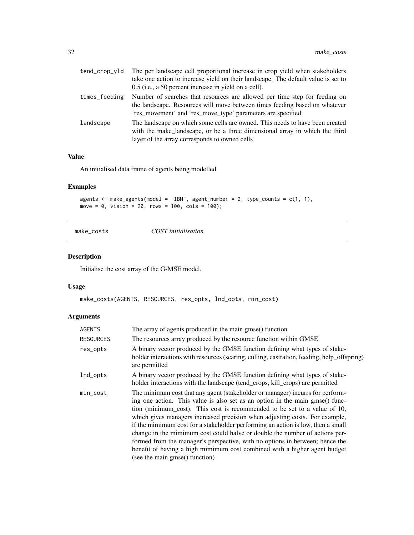<span id="page-31-0"></span>

| tend_crop_yld | The per landscape cell proportional increase in crop yield when stakeholders<br>take one action to increase yield on their landscape. The default value is set to<br>0.5 (i.e., a 50 percent increase in yield on a cell). |
|---------------|----------------------------------------------------------------------------------------------------------------------------------------------------------------------------------------------------------------------------|
| times_feeding | Number of searches that resources are allowed per time step for feeding on<br>the landscape. Resources will move between times feeding based on whatever<br>'res_movement' and 'res_move_type' parameters are specified.   |
| landscape     | The landscape on which some cells are owned. This needs to have been created<br>with the make landscape, or be a three dimensional array in which the third<br>layer of the array corresponds to owned cells               |

## Value

An initialised data frame of agents being modelled

## Examples

```
agents \leq make_agents(model = "IBM", agent_number = 2, type_counts = c(1, 1),
move = \theta, vision = 2\theta, rows = 10\theta, cols = 10\theta);
```
make\_costs *COST initialisation*

## Description

Initialise the cost array of the G-MSE model.

## Usage

make\_costs(AGENTS, RESOURCES, res\_opts, lnd\_opts, min\_cost)

## Arguments

| <b>AGENTS</b>    | The array of agents produced in the main gmse() function                                                                                                                                                                                                                                                                                                                                                                                                                                                                                                                                                                                                                                   |
|------------------|--------------------------------------------------------------------------------------------------------------------------------------------------------------------------------------------------------------------------------------------------------------------------------------------------------------------------------------------------------------------------------------------------------------------------------------------------------------------------------------------------------------------------------------------------------------------------------------------------------------------------------------------------------------------------------------------|
| <b>RESOURCES</b> | The resources array produced by the resource function within GMSE                                                                                                                                                                                                                                                                                                                                                                                                                                                                                                                                                                                                                          |
| res_opts         | A binary vector produced by the GMSE function defining what types of stake-<br>holder interactions with resources (scaring, culling, castration, feeding, help_offspring)<br>are permitted                                                                                                                                                                                                                                                                                                                                                                                                                                                                                                 |
| lnd_opts         | A binary vector produced by the GMSE function defining what types of stake-<br>holder interactions with the landscape (tend_crops, kill_crops) are permitted                                                                                                                                                                                                                                                                                                                                                                                                                                                                                                                               |
| min_cost         | The minimum cost that any agent (stakeholder or manager) incurrs for perform-<br>ing one action. This value is also set as an option in the main gmse() func-<br>tion (minimum_cost). This cost is recommended to be set to a value of 10,<br>which gives managers increased precision when adjusting costs. For example,<br>if the mimimum cost for a stakeholder performing an action is low, then a small<br>change in the mimimum cost could halve or double the number of actions per-<br>formed from the manager's perspective, with no options in between; hence the<br>benefit of having a high mimimum cost combined with a higher agent budget<br>(see the main gmse() function) |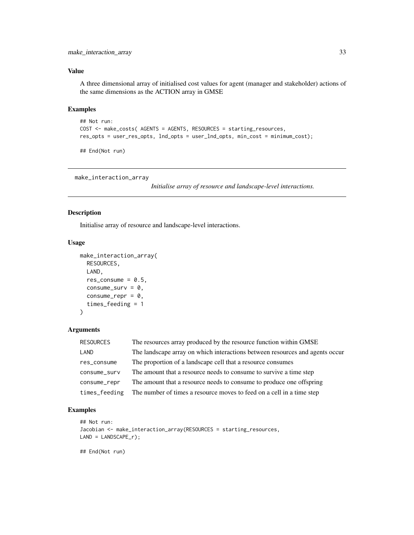#### <span id="page-32-0"></span>Value

A three dimensional array of initialised cost values for agent (manager and stakeholder) actions of the same dimensions as the ACTION array in GMSE

#### Examples

```
## Not run:
COST <- make_costs( AGENTS = AGENTS, RESOURCES = starting_resources,
res_opts = user_res_opts, lnd_opts = user_lnd_opts, min_cost = minimum_cost);
```
## End(Not run)

```
make_interaction_array
```
*Initialise array of resource and landscape-level interactions.*

## Description

Initialise array of resource and landscape-level interactions.

#### Usage

```
make_interaction_array(
  RESOURCES,
  LAND,
  res_consume = 0.5,
  consume_surv = 0,
  consume_{\text{rep}} = 0,
  times_feeding = 1
)
```
#### Arguments

| <b>RESOURCES</b> | The resources array produced by the resource function within GMSE            |
|------------------|------------------------------------------------------------------------------|
| LAND             | The landscape array on which interactions between resources and agents occur |
| res_consume      | The proportion of a landscape cell that a resource consumes                  |
| consume_surv     | The amount that a resource needs to consume to survive a time step           |
| consume_repr     | The amount that a resource needs to consume to produce one offspring         |
| times_feeding    | The number of times a resource moves to feed on a cell in a time step        |

#### Examples

```
## Not run:
Jacobian <- make_interaction_array(RESOURCES = starting_resources,
LAND = LANDSCAPE_r);
```
## End(Not run)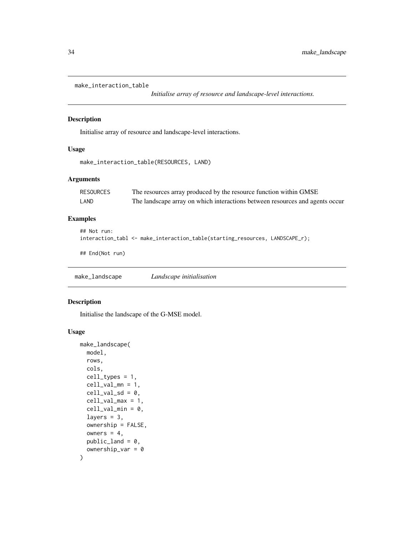```
make_interaction_table
```
*Initialise array of resource and landscape-level interactions.*

## Description

Initialise array of resource and landscape-level interactions.

## Usage

```
make_interaction_table(RESOURCES, LAND)
```
## Arguments

| RESOURCES | The resources array produced by the resource function within GMSE            |
|-----------|------------------------------------------------------------------------------|
| LAND      | The landscape array on which interactions between resources and agents occur |

## Examples

```
## Not run:
interaction_tabl <- make_interaction_table(starting_resources, LANDSCAPE_r);
## End(Not run)
```
make\_landscape *Landscape initialisation*

## Description

Initialise the landscape of the G-MSE model.

```
make_landscape(
 model,
 rows,
 cols,
 cell_types = 1,
 cell_val_m = 1,
 cell_val_sd = 0,cell_val_max = 1,
  cell_val.min = 0,layers = 3,
 ownership = FALSE,
 owners = 4,
 public and = 0,
  ownership_var = 0)
```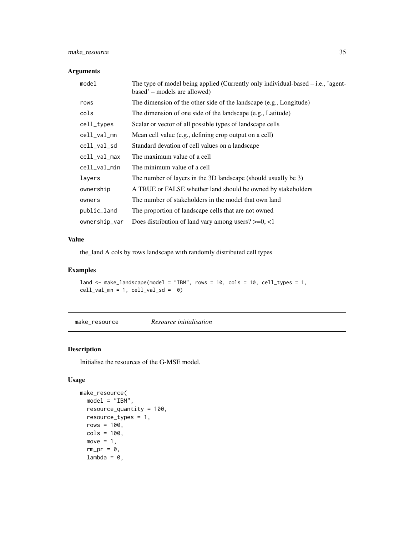## <span id="page-34-0"></span>make\_resource 35

## Arguments

| model         | The type of model being applied (Currently only individual-based $-$ i.e., 'agent-<br>based' – models are allowed) |
|---------------|--------------------------------------------------------------------------------------------------------------------|
| rows          | The dimension of the other side of the landscape (e.g., Longitude)                                                 |
| cols          | The dimension of one side of the landscape (e.g., Latitude)                                                        |
| cell_types    | Scalar or vector of all possible types of landscape cells                                                          |
| cell_val_mn   | Mean cell value (e.g., defining crop output on a cell)                                                             |
| cell_val_sd   | Standard devation of cell values on a landscape                                                                    |
| cell_val_max  | The maximum value of a cell                                                                                        |
| cell_val_min  | The minimum value of a cell                                                                                        |
| layers        | The number of layers in the 3D landscape (should usually be 3)                                                     |
| ownership     | A TRUE or FALSE whether land should be owned by stakeholders                                                       |
| owners        | The number of stakeholders in the model that own land                                                              |
| public_land   | The proportion of landscape cells that are not owned                                                               |
| ownership_var | Does distribution of land vary among users? $>=0, <1$                                                              |

## Value

the\_land A cols by rows landscape with randomly distributed cell types

## Examples

```
land <- make_landscape(model = "IBM", rows = 10, cols = 10, cell_types = 1,
cell\_val\_mn = 1, cell\_val\_sd = 0
```
make\_resource *Resource initialisation*

## Description

Initialise the resources of the G-MSE model.

```
make_resource(
  model = "IBM",
  resource_quantity = 100,
  resource_types = 1,
  rows = 100,
  cols = 100,
  move = 1,
  rm\_pr = 0,
  lambda = 0,
```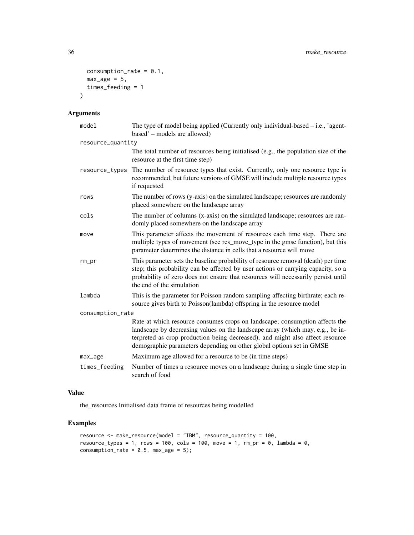```
consumption_rate = 0.1,
  max\_age = 5,
  times_feeding = 1
\mathcal{L}
```
## Arguments

| model             | The type of model being applied (Currently only individual-based - i.e., 'agent-<br>based' – models are allowed)                                                                                                                                                                                                       |
|-------------------|------------------------------------------------------------------------------------------------------------------------------------------------------------------------------------------------------------------------------------------------------------------------------------------------------------------------|
| resource_quantity |                                                                                                                                                                                                                                                                                                                        |
|                   | The total number of resources being initialised (e.g., the population size of the<br>resource at the first time step)                                                                                                                                                                                                  |
| resource_types    | The number of resource types that exist. Currently, only one resource type is<br>recommended, but future versions of GMSE will include multiple resource types<br>if requested                                                                                                                                         |
| rows              | The number of rows (y-axis) on the simulated landscape; resources are randomly<br>placed somewhere on the landscape array                                                                                                                                                                                              |
| cols              | The number of columns (x-axis) on the simulated landscape; resources are ran-<br>domly placed somewhere on the landscape array                                                                                                                                                                                         |
| move              | This parameter affects the movement of resources each time step. There are<br>multiple types of movement (see res_move_type in the gmse function), but this<br>parameter determines the distance in cells that a resource will move                                                                                    |
| $rm\_pr$          | This parameter sets the baseline probability of resource removal (death) per time<br>step; this probability can be affected by user actions or carrying capacity, so a<br>probability of zero does not ensure that resources will necessarily persist until<br>the end of the simulation                               |
| lambda            | This is the parameter for Poisson random sampling affecting birthrate; each re-<br>source gives birth to Poisson(lambda) offspring in the resource model                                                                                                                                                               |
| consumption_rate  |                                                                                                                                                                                                                                                                                                                        |
|                   | Rate at which resource consumes crops on landscape; consumption affects the<br>landscape by decreasing values on the landscape array (which may, e.g., be in-<br>terpreted as crop production being decreased), and might also affect resource<br>demographic parameters depending on other global options set in GMSE |
| max_age           | Maximum age allowed for a resource to be (in time steps)                                                                                                                                                                                                                                                               |
| times_feeding     | Number of times a resource moves on a landscape during a single time step in<br>search of food                                                                                                                                                                                                                         |

## Value

the\_resources Initialised data frame of resources being modelled

## Examples

```
resource <- make_resource(model = "IBM", resource_quantity = 100,
resource_types = 1, rows = 100, cols = 100, move = 1, rm_pr = 0, lambda = 0,
consumption_rate = 0.5, max_age = 5);
```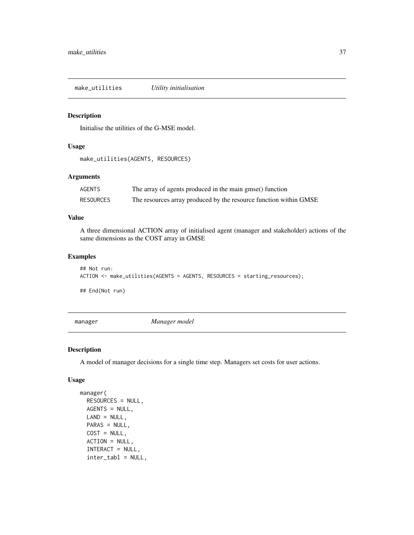<span id="page-36-0"></span>make\_utilities *Utility initialisation*

## Description

Initialise the utilities of the G-MSE model.

#### Usage

```
make_utilities(AGENTS, RESOURCES)
```
## Arguments

| AGENTS           | The array of agents produced in the main gmse() function          |
|------------------|-------------------------------------------------------------------|
| <b>RESOURCES</b> | The resources array produced by the resource function within GMSE |

#### Value

A three dimensional ACTION array of initialised agent (manager and stakeholder) actions of the same dimensions as the COST array in GMSE

## Examples

```
## Not run:
ACTION <- make_utilities(AGENTS = AGENTS, RESOURCES = starting_resources);
```
## End(Not run)

manager *Manager model*

## Description

A model of manager decisions for a single time step. Managers set costs for user actions.

```
manager(
  RESOURCES = NULL,
 AGENTS = NULL,
 LAND = NULL,
 PARAS = NULL,
  COST = NULL,ACTION = NULL,
  INTERACT = NULL,
  inter_tabl = NULL,
```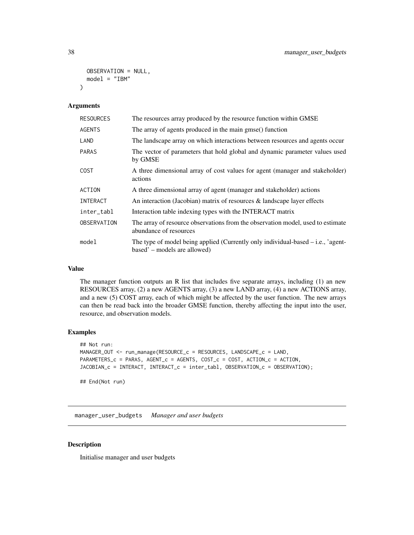```
OBSERVATION = NULL,
 model = "IBM")
```
## Arguments

| <b>RESOURCES</b> | The resources array produced by the resource function within GMSE                                                  |
|------------------|--------------------------------------------------------------------------------------------------------------------|
| <b>AGENTS</b>    | The array of agents produced in the main gmse() function                                                           |
| LAND             | The landscape array on which interactions between resources and agents occur                                       |
| <b>PARAS</b>     | The vector of parameters that hold global and dynamic parameter values used<br>by GMSE                             |
| <b>COST</b>      | A three dimensional array of cost values for agent (manager and stakeholder)<br>actions                            |
| ACTION           | A three dimensional array of agent (manager and stakeholder) actions                                               |
| INTERACT         | An interaction (Jacobian) matrix of resources $\&$ landscape layer effects                                         |
| inter_tabl       | Interaction table indexing types with the INTERACT matrix                                                          |
| OBSERVATION      | The array of resource observations from the observation model, used to estimate<br>abundance of resources          |
| model            | The type of model being applied (Currently only individual-based $-$ i.e., 'agent-<br>based' – models are allowed) |

## Value

The manager function outputs an R list that includes five separate arrays, including (1) an new RESOURCES array, (2) a new AGENTS array, (3) a new LAND array, (4) a new ACTIONS array, and a new (5) COST array, each of which might be affected by the user function. The new arrays can then be read back into the broader GMSE function, thereby affecting the input into the user, resource, and observation models.

#### Examples

```
## Not run:
MANAGER_OUT <- run_manage(RESOURCE_c = RESOURCES, LANDSCAPE_c = LAND,
PARAMETERS_c = PARAS, AGENT_c = AGENTS, COST_c = COST, ACTION_c = ACTION,
JACOBIAN_c = INTERACT, INTERACT_c = inter_tabl, OBSERVATION_c = OBSERVATION);
## End(Not run)
```
manager\_user\_budgets *Manager and user budgets*

## Description

Initialise manager and user budgets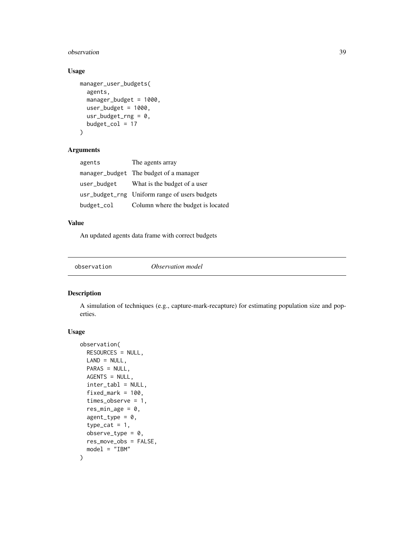#### <span id="page-38-0"></span>observation 39

## Usage

```
manager_user_budgets(
  agents,
  manager_budget = 1000,
 user_budget = 1000,
 usr_budget_rng = 0,
 budget\_col = 17)
```
## Arguments

| agents      | The agents array                              |
|-------------|-----------------------------------------------|
|             | manager_budget The budget of a manager        |
| user_budget | What is the budget of a user                  |
|             | usr_budget_rng Uniform range of users budgets |
| budget_col  | Column where the budget is located            |

## Value

An updated agents data frame with correct budgets

observation *Observation model*

## Description

A simulation of techniques (e.g., capture-mark-recapture) for estimating population size and poperties.

```
observation(
  RESOURCES = NULL,
 LAND = NULL,PARAS = NULL,
 AGENTS = NULL,
  inter_tabl = NULL,
  fixed\_mark = 100,times_observe = 1,
  res\_min\_age = 0,
  agent_type = 0,
  type\_cat = 1,
  observe_type = 0,
  res_move_obs = FALSE,
  model = "IBM"
)
```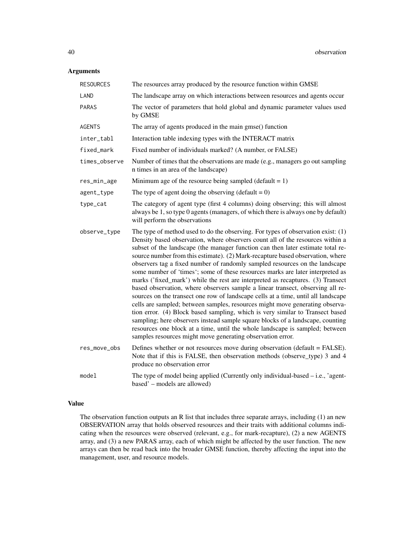## Arguments

| <b>RESOURCES</b> | The resources array produced by the resource function within GMSE                                                                                                                                                                                                                                                                                                                                                                                                                                                                                                                                                                                                                                                                                                                                                                                                                                                                                                                                                                                                                                                                                                   |
|------------------|---------------------------------------------------------------------------------------------------------------------------------------------------------------------------------------------------------------------------------------------------------------------------------------------------------------------------------------------------------------------------------------------------------------------------------------------------------------------------------------------------------------------------------------------------------------------------------------------------------------------------------------------------------------------------------------------------------------------------------------------------------------------------------------------------------------------------------------------------------------------------------------------------------------------------------------------------------------------------------------------------------------------------------------------------------------------------------------------------------------------------------------------------------------------|
| LAND             | The landscape array on which interactions between resources and agents occur                                                                                                                                                                                                                                                                                                                                                                                                                                                                                                                                                                                                                                                                                                                                                                                                                                                                                                                                                                                                                                                                                        |
| <b>PARAS</b>     | The vector of parameters that hold global and dynamic parameter values used<br>by GMSE                                                                                                                                                                                                                                                                                                                                                                                                                                                                                                                                                                                                                                                                                                                                                                                                                                                                                                                                                                                                                                                                              |
| <b>AGENTS</b>    | The array of agents produced in the main gmse() function                                                                                                                                                                                                                                                                                                                                                                                                                                                                                                                                                                                                                                                                                                                                                                                                                                                                                                                                                                                                                                                                                                            |
| inter_tabl       | Interaction table indexing types with the INTERACT matrix                                                                                                                                                                                                                                                                                                                                                                                                                                                                                                                                                                                                                                                                                                                                                                                                                                                                                                                                                                                                                                                                                                           |
| fixed_mark       | Fixed number of individuals marked? (A number, or FALSE)                                                                                                                                                                                                                                                                                                                                                                                                                                                                                                                                                                                                                                                                                                                                                                                                                                                                                                                                                                                                                                                                                                            |
| times_observe    | Number of times that the observations are made (e.g., managers go out sampling<br>n times in an area of the landscape)                                                                                                                                                                                                                                                                                                                                                                                                                                                                                                                                                                                                                                                                                                                                                                                                                                                                                                                                                                                                                                              |
| res_min_age      | Minimum age of the resource being sampled (default $= 1$ )                                                                                                                                                                                                                                                                                                                                                                                                                                                                                                                                                                                                                                                                                                                                                                                                                                                                                                                                                                                                                                                                                                          |
| agent_type       | The type of agent doing the observing (default = $0$ )                                                                                                                                                                                                                                                                                                                                                                                                                                                                                                                                                                                                                                                                                                                                                                                                                                                                                                                                                                                                                                                                                                              |
| type_cat         | The category of agent type (first 4 columns) doing observing; this will almost<br>always be 1, so type 0 agents (managers, of which there is always one by default)<br>will perform the observations                                                                                                                                                                                                                                                                                                                                                                                                                                                                                                                                                                                                                                                                                                                                                                                                                                                                                                                                                                |
| observe_type     | The type of method used to do the observing. For types of observation exist: (1)<br>Density based observation, where observers count all of the resources within a<br>subset of the landscape (the manager function can then later estimate total re-<br>source number from this estimate). (2) Mark-recapture based observation, where<br>observers tag a fixed number of randomly sampled resources on the landscape<br>some number of 'times'; some of these resources marks are later interpreted as<br>marks ('fixed_mark') while the rest are interpreted as recaptures. (3) Transect<br>based observation, where observers sample a linear transect, observing all re-<br>sources on the transect one row of landscape cells at a time, until all landscape<br>cells are sampled; between samples, resources might move generating observa-<br>tion error. (4) Block based sampling, which is very similar to Transect based<br>sampling; here observers instead sample square blocks of a landscape, counting<br>resources one block at a time, until the whole landscape is sampled; between<br>samples resources might move generating observation error. |
| res_move_obs     | Defines whether or not resources move during observation (default = FALSE).<br>Note that if this is FALSE, then observation methods (observe_type) 3 and 4<br>produce no observation error                                                                                                                                                                                                                                                                                                                                                                                                                                                                                                                                                                                                                                                                                                                                                                                                                                                                                                                                                                          |
| model            | The type of model being applied (Currently only individual-based $-$ i.e., 'agent-<br>based' – models are allowed)                                                                                                                                                                                                                                                                                                                                                                                                                                                                                                                                                                                                                                                                                                                                                                                                                                                                                                                                                                                                                                                  |

## Value

The observation function outputs an R list that includes three separate arrays, including (1) an new OBSERVATION array that holds observed resources and their traits with additional columns indicating when the resources were observed (relevant, e.g., for mark-recapture), (2) a new AGENTS array, and (3) a new PARAS array, each of which might be affected by the user function. The new arrays can then be read back into the broader GMSE function, thereby affecting the input into the management, user, and resource models.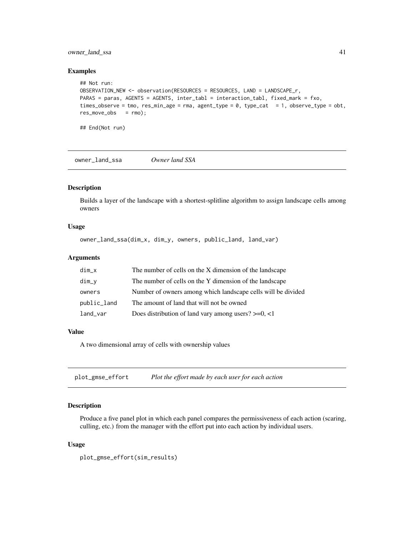## <span id="page-40-0"></span>owner\_land\_ssa 41

#### Examples

```
## Not run:
OBSERVATION_NEW <- observation(RESOURCES = RESOURCES, LAND = LANDSCAPE_r,
PARAS = paras, AGENTS = AGENTS, inter_tabl = interaction_tabl, fixed_mark = fxo,
times_observe = tmo, res_min_age = rma, agent_type = 0, type_cat = 1, observe_type = obt,
res_move_obs = rmo);
```
## End(Not run)

owner\_land\_ssa *Owner land SSA*

## Description

Builds a layer of the landscape with a shortest-splitline algorithm to assign landscape cells among owners

## Usage

owner\_land\_ssa(dim\_x, dim\_y, owners, public\_land, land\_var)

#### Arguments

| $dim_x$     | The number of cells on the X dimension of the landscape      |
|-------------|--------------------------------------------------------------|
| $dim_v$     | The number of cells on the Y dimension of the landscape      |
| owners      | Number of owners among which landscape cells will be divided |
| public_land | The amount of land that will not be owned                    |
| land_var    | Does distribution of land vary among users? $>=0, <1$        |

#### Value

A two dimensional array of cells with ownership values

plot\_gmse\_effort *Plot the effort made by each user for each action*

## Description

Produce a five panel plot in which each panel compares the permissiveness of each action (scaring, culling, etc.) from the manager with the effort put into each action by individual users.

```
plot_gmse_effort(sim_results)
```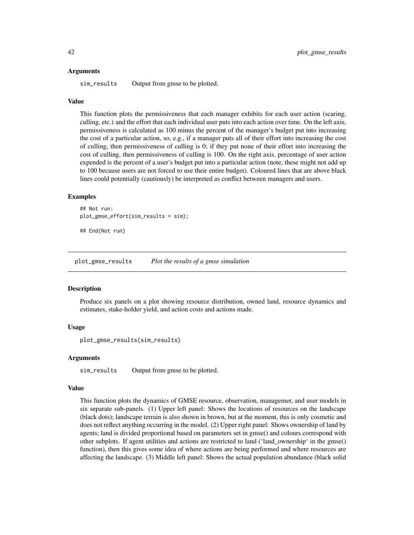#### <span id="page-41-0"></span>Arguments

sim\_results Output from gmse to be plotted.

#### Value

This function plots the permissiveness that each manager exhibits for each user action (scaring, culling, etc.) and the effort that each individual user puts into each action over time. On the left axis, permissiveness is calculated as 100 minus the percent of the manager's budget put into increasing the cost of a particular action, so, e.g., if a manager puts all of their effort into increasing the cost of culling, then permissiveness of culling is 0; if they put none of their effort into increasing the cost of culling, then permissiveness of culling is 100. On the right axis, percentage of user action expended is the percent of a user's budget put into a particular action (note, these might not add up to 100 because users are not forced to use their entire budget). Coloured lines that are above black lines could potentially (cautiously) be interpreted as conflict between managers and users.

#### Examples

```
## Not run:
plot_gmse_effort(sim_results = sim);
```
## End(Not run)

plot\_gmse\_results *Plot the results of a gmse simulation*

#### Description

Produce six panels on a plot showing resource distribution, owned land, resource dynamics and estimates, stake-holder yield, and action costs and actions made.

## Usage

plot\_gmse\_results(sim\_results)

#### Arguments

sim\_results Output from gmse to be plotted.

#### Value

This function plots the dynamics of GMSE resource, observation, managemer, and user models in six separate sub-panels. (1) Upper left panel: Shows the locations of resources on the landscape (black dots); landscape terrain is also shown in brown, but at the moment, this is only cosmetic and does not reflect anything occurring in the model. (2) Upper right panel: Shows ownership of land by agents; land is divided proportional based on parameters set in gmse() and colours correspond with other subplots. If agent utilities and actions are restricted to land ('land\_ownership' in the gmse() function), then this gives some idea of where actions are being performed and where resources are affecting the landscape. (3) Middle left panel: Shows the actual population abundance (black solid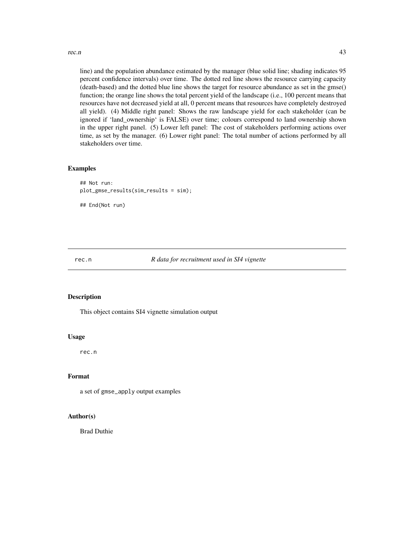<span id="page-42-0"></span>rec.n  $43$ 

line) and the population abundance estimated by the manager (blue solid line; shading indicates 95 percent confidence intervals) over time. The dotted red line shows the resource carrying capacity (death-based) and the dotted blue line shows the target for resource abundance as set in the gmse() function; the orange line shows the total percent yield of the landscape (i.e., 100 percent means that resources have not decreased yield at all, 0 percent means that resources have completely destroyed all yield). (4) Middle right panel: Shows the raw landscape yield for each stakeholder (can be ignored if 'land\_ownership' is FALSE) over time; colours correspond to land ownership shown in the upper right panel. (5) Lower left panel: The cost of stakeholders performing actions over time, as set by the manager. (6) Lower right panel: The total number of actions performed by all stakeholders over time.

#### Examples

```
## Not run:
plot_gmse_results(sim_results = sim);
## End(Not run)
```
#### rec.n *R data for recruitment used in SI4 vignette*

## Description

This object contains SI4 vignette simulation output

#### Usage

rec.n

## Format

a set of gmse\_apply output examples

## Author(s)

Brad Duthie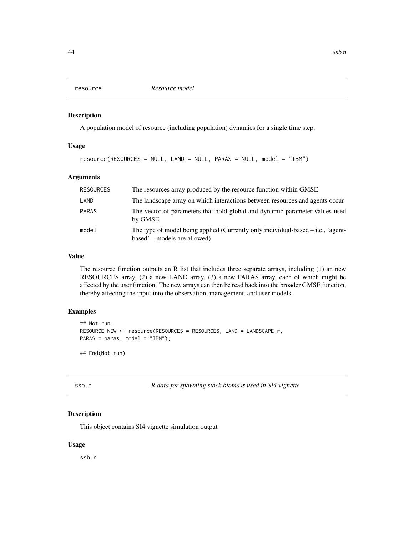<span id="page-43-0"></span>

#### Description

A population model of resource (including population) dynamics for a single time step.

## Usage

resource(RESOURCES = NULL, LAND = NULL, PARAS = NULL, model = "IBM")

#### Arguments

| <b>RESOURCES</b> | The resources array produced by the resource function within GMSE                                                  |
|------------------|--------------------------------------------------------------------------------------------------------------------|
| LAND             | The landscape array on which interactions between resources and agents occur                                       |
| <b>PARAS</b>     | The vector of parameters that hold global and dynamic parameter values used<br>by GMSE                             |
| model            | The type of model being applied (Currently only individual-based $-$ i.e., 'agent-<br>based' – models are allowed) |

## Value

The resource function outputs an R list that includes three separate arrays, including (1) an new RESOURCES array, (2) a new LAND array, (3) a new PARAS array, each of which might be affected by the user function. The new arrays can then be read back into the broader GMSE function, thereby affecting the input into the observation, management, and user models.

## Examples

```
## Not run:
RESOURCE_NEW <- resource(RESOURCES = RESOURCES, LAND = LANDSCAPE_r,
PARAS = paras, model = "IBM");
## End(Not run)
```
ssb.n *R data for spawning stock biomass used in SI4 vignette*

#### Description

This object contains SI4 vignette simulation output

## Usage

ssb.n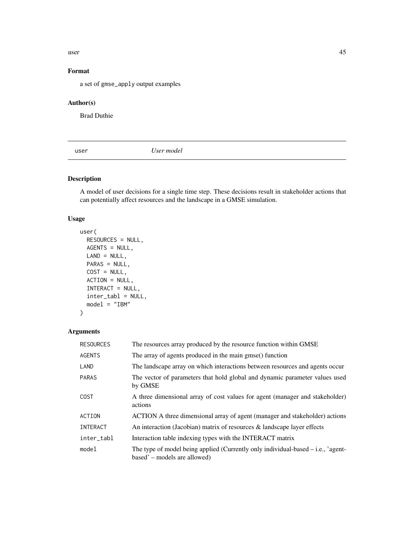<span id="page-44-0"></span> $\mu$ user  $\sim$  45

## Format

a set of gmse\_apply output examples

## Author(s)

Brad Duthie

user *User model*

## Description

A model of user decisions for a single time step. These decisions result in stakeholder actions that can potentially affect resources and the landscape in a GMSE simulation.

## Usage

```
user(
 RESOURCES = NULL,
 AGENTS = NULL,
 LAND = NULL,PARAS = NULL,
 COST = NULL,ACTION = NULL,
  INTERACT = NULL,
  inter_tabl = NULL,
 model = "IBM"
)
```
#### Arguments

| <b>RESOURCES</b> | The resources array produced by the resource function within GMSE                                                  |
|------------------|--------------------------------------------------------------------------------------------------------------------|
| <b>AGENTS</b>    | The array of agents produced in the main gmse() function                                                           |
| LAND             | The landscape array on which interactions between resources and agents occur                                       |
| <b>PARAS</b>     | The vector of parameters that hold global and dynamic parameter values used<br>by GMSE                             |
| <b>COST</b>      | A three dimensional array of cost values for agent (manager and stakeholder)<br>actions                            |
| ACTION           | ACTION A three dimensional array of agent (manager and stakeholder) actions                                        |
| INTERACT         | An interaction (Jacobian) matrix of resources & landscape layer effects                                            |
| inter_tabl       | Interaction table indexing types with the INTERACT matrix                                                          |
| model            | The type of model being applied (Currently only individual-based $-$ i.e., 'agent-<br>based' – models are allowed) |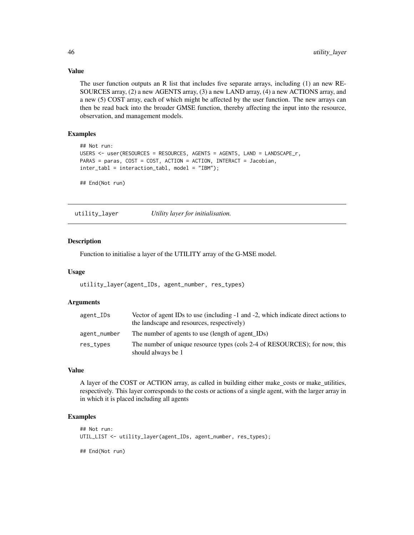## Value

The user function outputs an R list that includes five separate arrays, including (1) an new RE-SOURCES array, (2) a new AGENTS array, (3) a new LAND array, (4) a new ACTIONS array, and a new (5) COST array, each of which might be affected by the user function. The new arrays can then be read back into the broader GMSE function, thereby affecting the input into the resource, observation, and management models.

## Examples

```
## Not run:
USERS <- user(RESOURCES = RESOURCES, AGENTS = AGENTS, LAND = LANDSCAPE_r,
PARAS = paras, COST = COST, ACTION = ACTION, INTERACT = Jacobian,
inter_tabl = interaction_tabl, model = "IBM");
```
## End(Not run)

utility\_layer *Utility layer for initialisation.*

## **Description**

Function to initialise a layer of the UTILITY array of the G-MSE model.

#### Usage

```
utility_layer(agent_IDs, agent_number, res_types)
```
#### Arguments

| agent_IDs    | Vector of agent IDs to use (including -1 and -2, which indicate direct actions to<br>the landscape and resources, respectively) |
|--------------|---------------------------------------------------------------------------------------------------------------------------------|
| agent_number | The number of agents to use (length of agent IDs)                                                                               |
| res_types    | The number of unique resource types (cols 2-4 of RESOURCES); for now, this<br>should always be 1                                |

## Value

A layer of the COST or ACTION array, as called in building either make\_costs or make\_utilities, respectively. This layer corresponds to the costs or actions of a single agent, with the larger array in in which it is placed including all agents

### Examples

```
## Not run:
UTIL_LIST <- utility_layer(agent_IDs, agent_number, res_types);
```
## End(Not run)

<span id="page-45-0"></span>